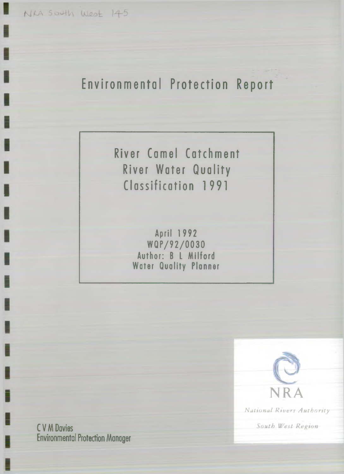NKA SOUth West 145

# **Environmental Protection Report**

**River Camel Catchment River Water Quality Classification 1991**

> **April 1 9 9 2 W Q P /9 2 /0 0 3 0** Author: B L Milford **Woter Quality Planner**



*Xational Rivers Authority*

South West Region

**C V M Davies Environmental Protection Manoger**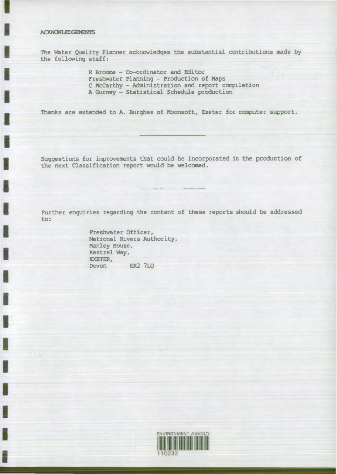# ACKNOWLEDGEMENTS

The Water Quality Planner acknowledges the substantial contributions made by the following staff:

> R Broome - Co-ordinator and Editor Freshwater Planning - Production of Maps C McCarthy - Administration and report compilation A Gurney - Statistical Schedule production

Thanks are extended to A. Burghes of Moonsoft, Exeter for computer support.

Suggestions for improvements that could be incorporated in the production of the next Classification report would be welcomed.

Further enquiries regarding the content of these reports should be addressed to:

> Freshwater Officer, National Rivers Authority, Manley House, Kestrel Way, EXETER, Devon *EX2* 7LQ

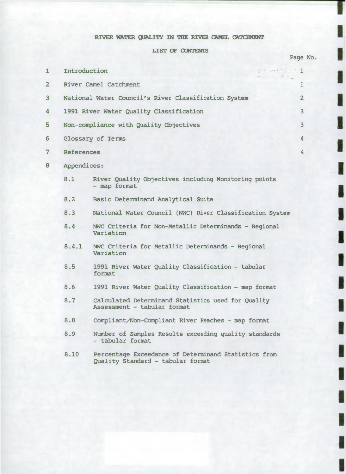# RIVER WATER QUALITY IN THE RIVER CAMEL CATCHMENT

LIST OF CONTENTS

I

ı

I

I

İ

H

|                         |                   |                                                                                           |                                                                                                                                                                                                        |                | Page No. |
|-------------------------|-------------------|-------------------------------------------------------------------------------------------|--------------------------------------------------------------------------------------------------------------------------------------------------------------------------------------------------------|----------------|----------|
| $\mathbf{1}$            | Introduction      |                                                                                           | $\mathcal{L}^{\mathcal{A}}\left( \mathcal{L}^{\mathcal{A}}\right) =\mathcal{L}^{\mathcal{A}}\left( \mathcal{L}^{\mathcal{A}}\right) =\mathcal{L}^{\mathcal{A}}\left( \mathcal{L}^{\mathcal{A}}\right)$ | -1             |          |
| $\overline{\mathbf{2}}$ |                   | River Camel Catchment                                                                     |                                                                                                                                                                                                        | 1              |          |
| 3                       |                   | National Water Council's River Classification System                                      |                                                                                                                                                                                                        | $\overline{a}$ |          |
| 4                       |                   | 1991 River Water Quality Classification                                                   |                                                                                                                                                                                                        | 3              |          |
| 5                       |                   | Non-compliance with Quality Objectives                                                    |                                                                                                                                                                                                        | 3              |          |
| 6                       |                   | Glossary of Terms                                                                         |                                                                                                                                                                                                        | 4              |          |
| 7                       | <b>References</b> |                                                                                           |                                                                                                                                                                                                        | $\overline{4}$ |          |
| 8                       | Appendices:       |                                                                                           |                                                                                                                                                                                                        |                |          |
|                         | 8.1               | River Quality Objectives including Monitoring points<br>- map format                      |                                                                                                                                                                                                        |                |          |
|                         | 8.2               | Basic Determinand Analytical Suite                                                        |                                                                                                                                                                                                        |                |          |
|                         | 8.3               | National Water Council (NWC) River Classification System                                  |                                                                                                                                                                                                        |                |          |
|                         | 8.4               | NWC Criteria for Non-Metallic Determinands - Regional<br>Variation                        |                                                                                                                                                                                                        |                |          |
|                         | 8.4.1             | NWC Criteria for Metallic Determinands - Regional<br>Variation                            |                                                                                                                                                                                                        |                |          |
|                         | 8.5               | 1991 River Water Quality Classification - tabular<br>format                               |                                                                                                                                                                                                        |                |          |
|                         | 8.6               | 1991 River Water Quality Classification - map format                                      |                                                                                                                                                                                                        |                |          |
|                         | 8.7               | Calculated Determinand Statistics used for Quality<br>Assessment - tabular format         |                                                                                                                                                                                                        |                |          |
|                         | 8.8               | Compliant/Non-Compliant River Reaches - map format                                        |                                                                                                                                                                                                        |                |          |
|                         | 8.9               | Number of Samples Results exceeding quality standards<br>- tabular format                 |                                                                                                                                                                                                        |                |          |
|                         | 8.10              | Percentage Exceedance of Determinand Statistics from<br>Quality Standard - tabular format |                                                                                                                                                                                                        |                |          |
|                         |                   |                                                                                           |                                                                                                                                                                                                        |                |          |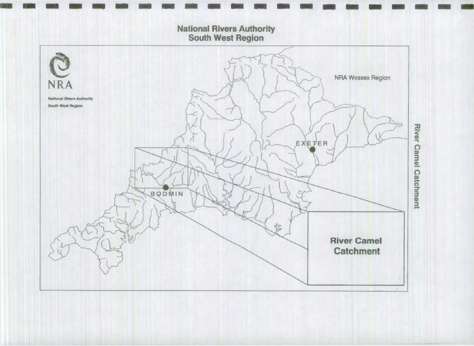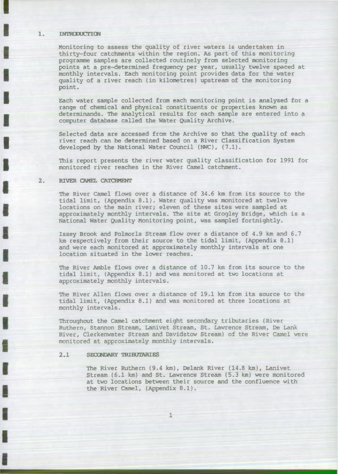## 1. INTRODUCTION

Monitoring to assess the quality of river waters is undertaken in thirty-four catchments within the region. As part of this monitoring programme samples are collected routinely from selected monitoring points at a pre-determined frequency per year, usually twelve spaced at monthly intervals. Each monitoring point provides data for the water quality of a river reach (in kilometres) upstream of the monitoring point.

Each water sample collected from each monitoring point is analysed for a range of chemical and physical constituents or properties known as determinands. The analytical results for each sample are entered into a computer database called the Water Quality Archive.

Selected data are accessed from the Archive so that the quality of each river reach can be determined based on a River Classification System developed by the National Water Council (NWC), (7.1).

This report presents the river water quality classification for 1991 for monitored river reaches in the River Camel catchment.

# 2. RIVER CAMEL CATCHMENT

The River Camel flows over a distance of 34.6 km from its source to the tidal limit, (Appendix 8.1). Water quality was monitored at twelve locations on the main river; eleven of these sites were sampled at approximately monthly intervals. The site at Grogley Bridge, which is a National Water Quality Monitoring point, was sampled fortnightly.

Issey Brook and Polmorla Stream flow over a distance of 4.9 km and 6.7 km respectively from their source to the tidal limit, (Appendix 8.1) and were each monitored at approximately monthly intervals at one location situated in the lower reaches.

The River Amble flows over a distance of 10.7 km from its source to the tidal limit, (Appendix 8.1) and was monitored at two locations at approximately monthly intervals.

The River Allen flows over a distance of 19.1 km from its source to the tidal limit, (Appendix 8.1) and was monitored at three locations at monthly intervals.

Throughout the Camel catchment eight secondary tributaries (River Ruthern, Stannon Stream, Lanivet Stream, St. Lawrence Stream, De Lank River, Clerkenwater Stream and Davidstow Stream) of the River Camel were monitored at approximately monthly intervals.

# 2.1 SECONDARY TRIBUTARIES

The River Ruthern (9.4 km), Delank River (14.8 km), Lanivet Stream (6.1 km) and St. Lawrence Stream (5.3 km) were monitored at two locations between their source and the confluence with the River Camel, (Appendix 8.1).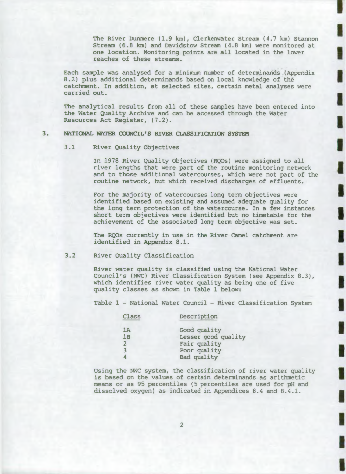The River Dunmere (1.9 km), Clerkenwater Stream (4.7 km) Stannon Stream (6.8 km) and Davidstow Stream (4.8 km) were monitored at one location. Monitoring points are all located in the lower reaches of these streams.

П

Each sample was analysed for a minimum number of determinands (Appendix 8.2) plus additional determinands based on local knowledge of the catchment. In addition, at selected sites, certain metal analyses were carried out.

The analytical results from all of these samples have been entered into the Water Quality Archive and can be accessed through the Water Resources Act Register, (7.2).

# 3. NATIONAL WATER COUNCIL'S RIVER CLASSIFICATION SYSTEM

## 3.1 River Quality Objectives

In 1978 River Quality Objectives (RQOs) were assigned to all river lengths that were part of the routine monitoring network and to those additional watercourses, which were not part of the routine network, but which received discharges of effluents.

For the majority of watercourses long term objectives were identified based on existing and assumed adequate quality for the long term protection of the watercourse. In a few instances short term objectives were identified but no timetable for the achievement of the associated long term objective was set.

The RQOs currently in use in the River Camel catchment are identified in Appendix 8.1.

3.2 River Quality Classification

River water quality is classified using the National Water Council's (NWC) River Classification System (see Appendix 8.3), which identifies river water quality as being one of five quality classes as shown in Table 1 below:

Table 1 - National Water Council - River Classification System

| Class          | Description         |
|----------------|---------------------|
| 1A             | Good quality        |
| 1B             | Lesser good quality |
| $\overline{2}$ | Fair quality        |
| 3              | Poor quality        |
|                | Bad quality         |

Using the NWC system, the classification of river water quality is based on the values of certain determinands as arithmetic means or as 95 percentiles (5 percentiles are used for pH and dissolved oxygen) as indicated in Appendices 8.4 and 8.4.1.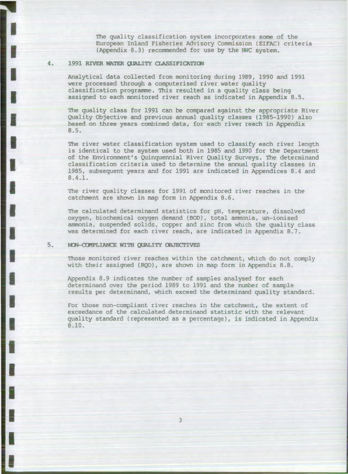The quality classification system incorporates some of the European Inland Fisheries Advisory Commission (EIFAC) criteria (Appendix 8.3) recommended for use by the NWC system.

# 4. 1991 RIVER WATER QUALITY CLASSIFICATION

Analytical data collected from monitoring during 1989, 1990 and 1991 were processed through a computerised river water quality classification programme. This resulted in a quality class being assigned to each monitored river reach as indicated in Appendix 8.5.

The quality class for 1991 can be compared against the appropriate River Quality Objective and previous annual quality classes (1985-1990) also based on three years combined data, for each river reach in Appendix 8.5.

The river water classification system used to classify each river length is identical to the system used both in 1985 and 1990 for the Department of the Environment's Quinquennial River Quality Surveys. The determinand classification criteria used to determine the annual quality classes in 1985, subsequent years and for 1991 are indicated in Appendices 8.4 and 8.4.1.

The river quality classes for 1991 of monitored river reaches in the catchment are shown in map form in Appendix 8.6.

The calculated determinand statistics for pH, temperature, dissolved oxygen, biochemical oxygen demand (BOD), total ammonia, un-ionised ammonia, suspended solids, copper and zinc from which the quality class was determined for each river reach, are indicated in Appendix 8.7.

## 5. NON-COMPLIANCE WITH QUALITY OBJECTIVES

Those monitored river reaches within the catchment, which do not comply with their assigned (RQO), are shown in map form in Appendix 8.8.

Appendix 8.9 indicates the number of samples analysed for each determinand over the period 1989 to 1991 and the number of sample results per determinand, which exceed the determinand quality standard.

For those non-compliant river reaches in the catchment, the extent of exceedance of the calculated determinand statistic with the relevant quality standard (represented as a percentage), is indicated in Appendix 8 **.**10**.**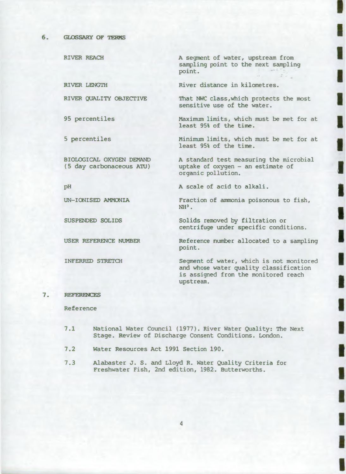RIVER REACH

RIVER LENGTH

RIVER QUALITY OBJECTIVE

95 percentiles

5 percentiles

BIOLOGICAL OXYGEN DEMAND (5 day carbonaceous ATU)

**PH**

UN-IONISED AMMONIA

SUSPENDED SOLIDS

USER REFERENCE NUMBER

INFERRED STRETCH

A segment of water, upstream from sampling point to the next sampling point.

River distance in kilometres.

That NWC class,which protects the most sensitive use of the water.

٥

H

Maximum limits, which must be met for at least 95% of the time.

Minimum limits, which must be met for at least 95% of the time.

A standard test measuring the microbial uptake of oxygen - an estimate of organic pollution.

A scale of acid to alkali.

Fraction of ammonia poisonous to fish,  $NH<sup>3</sup>$ .

Solids removed by filtration or centrifuge under specific conditions.

Reference number allocated to a sampling point.

Segment of water, which is not monitored and whose water quality classification is assigned from the monitored reach upstream.

# 7. REFERENCES

Reference

- 7.1 National Water Council (1977). River Water Quality: The Next Stage. Review of Discharge Consent Conditions. London.
- 7.2 Water Resources Act 1991 Section 190.
- 7.3 Alabaster J. S. and Lloyd R. Water Quality Criteria for Freshwater Fish, 2nd edition, 1982. Butterworths.

4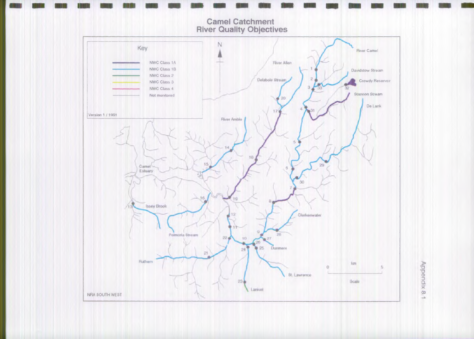

Appendix 8.1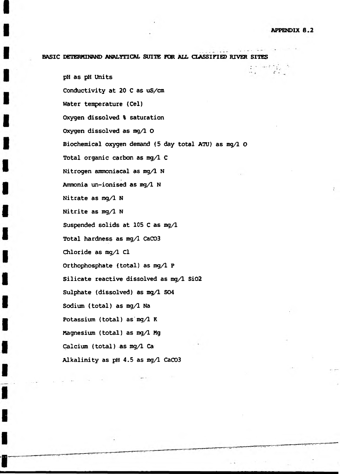# BASIC DETERMINAND ANALYTICAL SUITE FOR ALL CIASSIFIED RIVER SITES

pH as pH Units Conductivity at 20 C as uS/cm Water temperature (Cel) Oxygen dissolved % saturation Oxygen dissolved as mg/1 O Biochemical oxygen demand (5 day total ATU) as mg/1 O Total organic carbon as mg/1 C Nitrogen ammoniacal as mg/1 N Ammonia un-ionised as mg/1 N Nitrate as mg/1 N Nitrite as mg/1 N Suspended solids at 105 C as mg/1 Total hardness as mg/1 CaC03 Chloride as mg/1 Cl Orthophosphate (total) as mg/1 P Silicate reactive dissolved as mg/1 Si02 Sulphate (dissolved) as mg/1 S04 Sodium (total) as mg/1 Na Potassium (total) as mg/1 K Magnesium (total) as mg/1 Mg Calcium (total) as mg/1 Ca Alkalinity as pH 4.5 as mg/1 CaC03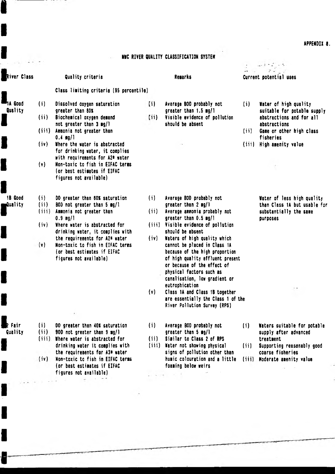APPENDIX 8.

# **NVC RIVER QUALITY CLASSIFICATION SYSTEM**

£

| River Class        |                | <b>Quality criteria</b>                                                                                                     |          | <b>Remarks</b>                                                                                                                                                                                                                 |       | F + + + + + +<br>Current potential uses                            |
|--------------------|----------------|-----------------------------------------------------------------------------------------------------------------------------|----------|--------------------------------------------------------------------------------------------------------------------------------------------------------------------------------------------------------------------------------|-------|--------------------------------------------------------------------|
|                    |                | Class limiting criteria (95 percentile)                                                                                     |          |                                                                                                                                                                                                                                |       |                                                                    |
| 7A Good<br>Quality | (i)            | Dissolved oxygen saturation<br>greater than 80%                                                                             | $\{ii\}$ | Average BOD probably not<br>greater than 1.5 mg/1                                                                                                                                                                              | (i)   | Water of high quality<br>suitable for potable supply               |
|                    | (ii)           | Biochemical oxygen demand<br>not greater than $3 \text{ mg}/\frac{3}{2}$                                                    | (iii)    | Visible evidence of pollution<br>should be absent                                                                                                                                                                              |       | abstractions and for all<br>abstractions                           |
|                    | (iii)          | Ausonia not greater than<br>$0.4$ mg/1                                                                                      |          |                                                                                                                                                                                                                                | (ii)  | Game or other high class<br>fisheries                              |
|                    | (iv)           | Where the water is abstracted<br>for drinking water, it complies<br>with requirements for A2* water                         |          |                                                                                                                                                                                                                                | (iii) | High amenity value                                                 |
|                    | (v)            | Non-toxic to fish in EIFAC terms<br>(or best estimates if EIFAC<br>figures not available)                                   |          |                                                                                                                                                                                                                                |       |                                                                    |
| 18 Good            | (i)            | DO greater than 60% saturation                                                                                              | (i)      | Average BOD probably not                                                                                                                                                                                                       |       | Water of less high quality                                         |
| mQuality           | (i)<br>(iii)   | BOD not greater than 5 mg/l<br>Ammonia not greater than<br>$0.9$ mg/1                                                       | (iii)    | greater than $2 \text{ ng}/1$<br>Average ammonia probably not<br>greater than 0.5 mg/1                                                                                                                                         |       | than Class 1A but usable for<br>substantially the same<br>purposes |
|                    | (iv)           | Where water is abstracted for<br>drinking water, it complies with                                                           |          | (iii) Visible evidence of pollution<br>should be absent                                                                                                                                                                        |       |                                                                    |
|                    | $(\mathsf{v})$ | the requirements for A2* water<br>Non-toxic to fish in EIFAC terms<br>(or best estimates if EIFAC<br>figures not available) | (iv)     | Waters of high quality which<br>cannot be placed in Class 1A<br>because of the high proportion<br>of high quality effluent present<br>or because of the effect of<br>physical factors such as<br>canalisation, low gradient or |       |                                                                    |
|                    |                |                                                                                                                             | (v)      | eutrophication<br>Class 1A and Class 1B together<br>are essentially the Class 1 of the<br>River Pollution Survey (RPS)                                                                                                         |       | ۰,                                                                 |
| Fair               | (i)            | DO greater than 40% saturation                                                                                              | (i)      | Average 800 probably not                                                                                                                                                                                                       | (i)   | Waters suitable for potable                                        |
| Quality            | (i)<br>(iii)   | 80D not greater than 9 mg/1<br>Where water is abstracted for<br>drinking water it complies with                             | (iii)    | greater than $5 \text{ mg/l}$<br>Similar to Class 2 of RPS<br>(iii) Water not showing physical                                                                                                                                 | (iii) | supply after advanced<br>treatment<br>Supporting reasonably good   |
|                    | (iv)           | the requirements for A3* water<br>Non-toxic to fish in EIFAC terms<br>(or best estimates if EIFAC<br>figures not available) |          | signs of pollution other than<br>humic colouration and a little<br>foaning below weirs<br>$\mathcal{A}^{\mathcal{A}}$ . We set                                                                                                 | (iii) | coarse fisheries<br>Moderate amenity value                         |
|                    |                |                                                                                                                             |          |                                                                                                                                                                                                                                |       |                                                                    |
|                    |                |                                                                                                                             |          |                                                                                                                                                                                                                                |       |                                                                    |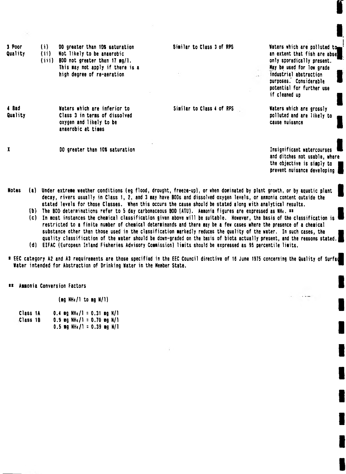| 3 Poor<br>Quality | (i)<br>(ii)<br>(iii) | 00 greater than 10% saturation<br>Not likely to be anaerobic<br>BOD not greater than 17 mg/l.<br>This may not apply if there is a | Similar to Class 3 of RPS | Waters which are polluted tom<br>an extent that fish are abse<br>only sporadically present.<br>May be used for low grade |
|-------------------|----------------------|-----------------------------------------------------------------------------------------------------------------------------------|---------------------------|--------------------------------------------------------------------------------------------------------------------------|
|                   |                      | high degree of re-aeration                                                                                                        |                           | industrial abstraction<br>purposes. Considerable<br>potential for further use<br>if cleaned up                           |
| 4 8ad<br>Quality  |                      | Waters which are inferior to<br>Class 3 in terms of dissolved<br>oxygen and likely to be<br>anaerobic at times                    | Similar to Class 4 of RPS | Waters which are grossly<br>polluted and are likely to<br>cause nuisance                                                 |
|                   |                      | DO greater than 10% saturation                                                                                                    |                           | Insignificant watercourses<br>and ditches not usable, where<br>the objective is simply to<br>prevent nuisance developing |

- Notes (a) Under extreme weather conditions (eg flood, drought, freeze-up), or when dominated by plant growth, or by aquatic plant decay, rivers usually in Class 1, 2, and 3 may have BODs and dissolved oxygen levels, or annonia content outside the stated levels for those Classes. When this occurs the cause should be stated along with analytical results.
	- (b) The BOD determinations refer to 5 day carbonaceous BOD (ATU). Annonia figures are expressed as NHt. \*\*
	- (c) In nost instances the chenical classification given above will be suitable. However, the basis of the classification is restricted to a finite number of chemical determinands and there may be a few cases where the presence of a chemical substance other than those used in the classification markedly reduces the quality of the water. In such cases, the quality classification of the water should be down-graded on the basis of biota actually present, and the reasons stated. (d) EIFAC (European Inland Fisheries Advisory Commission) limits should be expressed as 95 percentile limits.
- \* EEC category A2 and A3 requirements are those specified in the EEC Council directive of 16 June 1975 concerning the Quality of Surfad

\*\* Ammonia Conversion Factors

(mg  $NH<sub>4</sub>/1$  to mg  $N/1$ )

Water intended for Abstraction of Drinking Water in the Member State.

| Class 1A |  | 0.4 mg NH <sub>4</sub> /1 = 0.31 mg N/1   |  |  |  |
|----------|--|-------------------------------------------|--|--|--|
| Class 1B |  | 0.9 mg NH <sub>s</sub> $/1$ = 0.70 mg N/1 |  |  |  |
|          |  | $0.5$ mg NH <sub>4</sub> /1 = 0.39 mg N/1 |  |  |  |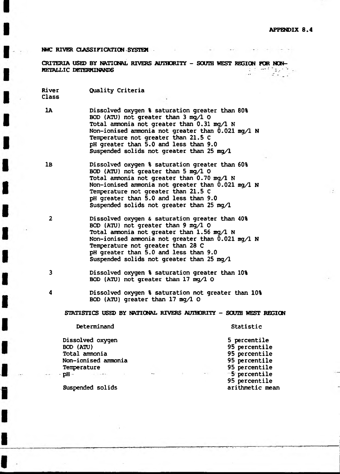## NWC RIVER CLASSIFICATION SYSTEM

CRITERIA *USED* BY NATIONAL RIVERS AUTHORITY - SOUTH WEST REGION FOR NON-HETALLIC DETERMINANDS

River Quality Criteria Class

- 1A Dissolved oxygen % saturation greater than 80% BOD (ATU) not greater than 3 mg/1 0 Total ammonia not greater than 0.31 mg/1 N Non-ionised ammonia not greater than 0.021 mg/1 N Temperature not greater than 21.5 C pH greater than 5.0 and less than 9.0 Suspended solids not greater than 25 mg/1
- IB Dissolved oxygen % saturation greater than 60% BOD (ATU) not greater than 5 mg/1 O Total ammonia not greater than  $0.70$  mg/l N Non-ionised ammonia not greater than 0.021 mg/1 N Temperature not greater than 21.5 C pH greater than 5.0 and less than 9.0 Suspended solids not greater than 25 mg/1
- 2 Dissolved oxygen & saturation greater than 40% BOD (ATU) not greater than  $9 \text{ mg}/100$ Total ammonia not greater than  $1.56$  mg/l N Non-ionised ammonia not greater than 0.021 mg/1 N Temperature not greater than 28 C pH greater than 5.0 and less than 9.0 Suspended solids not greater than 25 mg/1
- 3 Dissolved oxygen % saturation greater than 10% BOD (ATU) not greater than 17 mg/1 O
- 4 Dissolved oxygen % saturation not greater than 10% BOD (ATU) greater than 17 mg/1 O

STATISTICS USED BY NATIONAL RIVERS AUTHORITY - SOUIH WEST REGION

Determinand Statistic

Dissolved oxygen 5 percentile BOD (ATU) 95 percentile Total ammonia 95 percentile Non-ionised ammonia 95 percentile Temperature 95 percentile

-■pH-- - - 5 percentile 95 percentile

Suspended solids and the mean suspended solids and the mean suspended solids arithmetic mean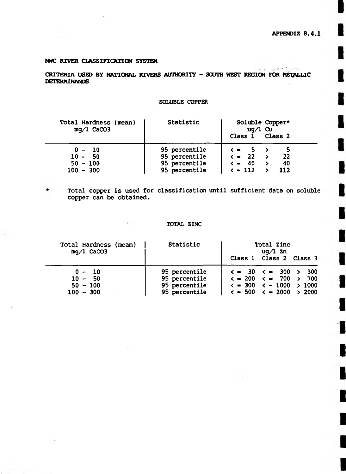$\Box$  and  $\Box$  is  $\Box$ 

 $\sim$ 

# NWC RIVER CLASSIFICATION SYSTEM

CRITERIA USED BY NATIONAL RIVERS AUTHORITY - SOUTH WEST REGION FOR METALLIC DETERMINANDS

# SOLUBLE COPPER

| Statistic     | Soluble Copper*<br>$uq/l$ Cu<br>Class 1 Class 2 |
|---------------|-------------------------------------------------|
| 95 percentile | $\zeta = 5$ >                                   |
| 95 percentile | 22<br>$\langle$ = 22 >                          |
| 95 percentile | $\zeta = 40$<br>40                              |
| 95 percentile | $\epsilon$ = 112<br>112                         |
|               |                                                 |

 $\star$ 

Total copper is used for classification until sufficient data on soluble copper can be obtained.

# TOTAL ZINC

 $\sim$ 

| Total Hardness (mean)<br>$mq/1$ CaCO3 | Statistic     | Total Zinc<br>uq∕l Zn<br>Class 1 Class 2 Class 3 |
|---------------------------------------|---------------|--------------------------------------------------|
| $0 - 10$                              | 95 percentile | $\langle$ = 30 $\langle$ = 300 $\rangle$ 300     |
| $10 - 50$                             | 95 percentile | $\zeta = 200 \leq m = 700 \geq 700$              |
| $50 - 100$                            | 95 percentile | $\langle$ = 300 $\langle$ = 1000 > 1000          |
| $100 - 300$                           | 95 percentile | $\langle$ = 500 $\langle$ = 2000 $\rangle$ 2000  |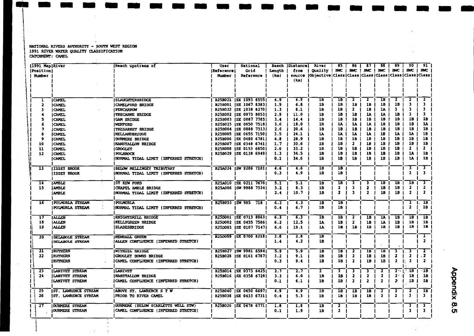#### NATIONAL RIVERS AUTHORITY - SOUTH WEST REGION 1991 RIVER WATER QUALITY CLASSIFICATION CATCHMENT: CAMEL

| <b> 1991 Map River</b><br><b>Position</b><br><b>Number</b> |                            | <b>Reach upstream of</b>                     | User<br>  Reference  <br><b>Number</b> | National<br>Grid<br>Reference | Length<br>(km) | <b>Reach  Distance </b><br>from<br><b>SOUTCO</b><br>(km) | River<br><b>Quality</b><br> Objective   Class   Class   Class   Class   Class   Class   Class | 85<br><b>NWC</b>        | 86<br><b>NMC</b>        | 87<br><b>IMC</b>        | 88<br><b>NWC</b>        | 89<br><b>NWC</b>          | 90<br><b>NWC</b>              | -91 1<br><b>NWC</b>     |            |
|------------------------------------------------------------|----------------------------|----------------------------------------------|----------------------------------------|-------------------------------|----------------|----------------------------------------------------------|-----------------------------------------------------------------------------------------------|-------------------------|-------------------------|-------------------------|-------------------------|---------------------------|-------------------------------|-------------------------|------------|
|                                                            |                            |                                              |                                        |                               |                |                                                          |                                                                                               |                         |                         |                         |                         |                           |                               |                         |            |
|                                                            | <b>I CAMEL</b>             | <b>SLAUGHTERBRIDGE</b>                       |                                        | R25B021   SX 1093 8555        | 4.9            | 4.9                                                      | 18                                                                                            | 1B                      | 2                       | $\overline{\mathbf{r}}$ | ıв                      | $\overline{\mathbf{2}}$   | $\overline{\mathbf{2}}$       | $\overline{2}$          |            |
| $\overline{\mathbf{2}}$                                    | <b>ICNEL</b>               | CAMELFORD BRIDGE                             |                                        | R25B001   SX 1067 8383        | 1.9            | 6.8                                                      | 18                                                                                            | 18                      | 1B                      | 1B                      | 1B                      | 1B                        | 3                             | 3                       |            |
| 3                                                          | <b>CAMEL</b>               | PENCARROW                                    |                                        | R25B022 (SX 1038 8270)        | 1.3            | 8.1                                                      | 18                                                                                            | 1B                      | $\mathbf{2}$            | 1B                      | 14                      | $\mathbf{3}$              | 3                             | 3                       |            |
|                                                            | CAMEL                      | <b>TRECARNE BRIDGE</b>                       |                                        | R25B002   SX 0973 8053        | 2.9            | 11.0                                                     | 18                                                                                            | 1B                      | 1B                      | 11                      | 18                      | 1B                        | 3                             | 3                       |            |
|                                                            | <b>CAMEL</b>               | <b>GAM BRIDGE</b>                            |                                        | R25B003 [SX 0887 7785]        | 3.4            | 14.4                                                     | 18                                                                                            | 1B                      | 18                      | 1B                      | 1B                      | 18                        | 1B                            | 18                      |            |
|                                                            | <b>CAMEL</b>               | WENPORD                                      |                                        | R25B023   SX 0850 7518        | 3.6            | 18.0                                                     | 18                                                                                            | 14                      | 1A                      | 1A                      | 1B                      | 1B                        | 18                            | 18                      |            |
|                                                            | CAMEL                      | <b>TRESARRET BRIDGE</b>                      |                                        | R25B004 ISX 0888 7313         | 2.6            | 20.6                                                     | 18                                                                                            | 18                      | 1B                      | 1B                      | 1B                      | 1B                        | 1B                            | 1B                      |            |
|                                                            | <b>CAMEL</b>               | <b>HELLANDBRIDGE</b>                         |                                        | R258005   SX 0655 7150        | 3.5            | 24.1                                                     | 1A                                                                                            | 14                      | 14                      | 11                      | 1B                      | 1A                        | 1A                            | 1B                      |            |
| 9                                                          | <b>ICAMEL</b>              | <b>DUNNERE BRIDGE</b>                        |                                        | R25B006   SX 0480 6781        | 4.8            | 28.9                                                     | 19                                                                                            | 18                      | 18                      | 1B                      | 1B                      | 1B                        | 18                            | 18                      |            |
| 10                                                         | <b>CAMEL</b>               | <b>INANSTALLON BRIDGE</b>                    |                                        | R25B007   SX 0348 6741        | 1.7            | 30.6                                                     | 18                                                                                            | 18                      | $\mathbf{z}$            | 1B                      | 1B                      | 1B                        | 19                            | 1B                      |            |
| 11                                                         | <b>CAMEL</b>               | <b>GROGLEY</b>                               |                                        | R25B008   SX 0153 6850        | 2.6            | 33.2                                                     | 1B                                                                                            | 18                      | 1B                      | 18                      | 1B                      | 1B                        | $\mathbf{z}$                  | $\mathbf{2}$            |            |
| 12                                                         | CAMEL                      | <b>POLBROCK</b>                              |                                        | R25B029   SX 0138 6949        | 1.3            | 34.5                                                     | 1B                                                                                            | 18                      | 1B                      | 18                      | 18                      | 1B                        | 14                            | 18                      |            |
|                                                            | <b>CAMEL</b>               | NORMAL TIDAL LIMIT (IRFERRED STRETCH)        |                                        |                               | 0.1            | 34.6                                                     | 18                                                                                            | 18                      | 1B                      | 1B                      | 18                      | 1B                        | 18                            | 1B                      |            |
| 13                                                         | <b>ISSEY BROOK</b>         | BELOW MELLINGEY TRIBUTARY                    |                                        | R25A024  SW 9206 7181         | 4.6            | 4.6                                                      | $\overline{1}B$                                                                               | 1B                      |                         |                         |                         |                           | $\overline{\mathbf{3}}$       | 3                       |            |
|                                                            | <b>ISSEY BROOK</b>         | <b>NORMAL TIDAL LIMIT (INFERRED STRETCH)</b> |                                        |                               | 0.3            | 4.9                                                      | 1B                                                                                            | 1B                      |                         |                         |                         |                           | $\mathbf{3}$                  | 3                       |            |
| $\overline{14}$                                            | <b>AMBLE</b>               | ST KEW FORD                                  |                                        | R25A010 \SX 0211 7678         | 5.1            | 5.1                                                      | 1B                                                                                            | 1B                      | 3                       | з                       | $\overline{1B}$         | $\overline{\mathbf{1}}$ B | 18                            | з.                      |            |
| 15                                                         | <b>AMBLE</b>               | <b>CHAPEL AMBLE BRIDGE</b>                   |                                        | R25A006 ISW 9988 7534         | 3.2            | 8.3                                                      | 1B                                                                                            | $\mathbf{z}$            | 3                       | 2                       | 1B                      | 1B                        | $\overline{\mathbf{2}}$       | $\mathbf{z}$            |            |
|                                                            | <b>AMBLE</b>               | (NORMAL TIDAL LIMIT (INFERRED STRETCH)       |                                        |                               | 2.4            | 10.7                                                     | 18                                                                                            | $\mathbf{2}$            | 3                       | $\overline{\mathbf{2}}$ | 1B                      | 1B                        | $\overline{\mathbf{2}}$       | $\mathbf{2}$            |            |
| 16                                                         | <b>POLMORLA STREAM</b>     | POLYORLA                                     |                                        | R25B053   SW 985 718          | 6.3            | 6.3                                                      | 18                                                                                            | 1B                      |                         |                         |                         |                           | 2                             | 1B                      |            |
|                                                            | <b>POLMORLA STREAM</b>     | NORMAL TIDAL LIMIT (INFERRED STRETCH)        |                                        |                               | 0.4            | 6.7                                                      | 1B                                                                                            | 1B                      |                         |                         |                         |                           | $\mathbf{z}$                  | 1B                      |            |
| 17                                                         | <b>JALLEN</b>              | KNIGHTSMILL BRIDGE                           |                                        | R25D001   SX 0713 8063        | 6.3            | 6.3                                                      | ΊB                                                                                            | 18                      | $\overline{\mathbf{2}}$ | 1B                      | 1A                      | 18                        | 18                            | 1B                      |            |
| 18                                                         | <b>ALLEN</b>               | KELLYGREEN BRIDGE                            |                                        | R25D002   SX 0455 7586        | 6.2            | 12.5                                                     | 14                                                                                            | 18                      | $\mathbf{2}$            | 1B                      | 14                      | 18                        | 18                            | 18                      |            |
| 19                                                         | <b>ALLEN</b>               | <b>SLADESBRIDGE</b>                          |                                        | R25D003 ISX 0107 71471        | 6.6            | 19.1                                                     | 1A                                                                                            | 1B                      | 1B                      | 1B                      | 18                      | 1B                        | 1B                            | 1B                      |            |
| 20                                                         | DELABOLE STREAM            | <b>NEWHALL GREEN</b>                         |                                        | R25D009   SX 0700 8218        | 2.8            | 2.8                                                      | 1B                                                                                            |                         |                         |                         |                         |                           |                               | $\overline{1}$          |            |
|                                                            | DELABOLE STREAM            | ALLEN CONFLUENCE (INFERRED STRETCH)          |                                        |                               | 1.4            | 4.2                                                      | 18                                                                                            |                         |                         |                         |                         |                           |                               | $\mathbf{z}$            |            |
| 21                                                         | RUTHERN                    | WITHIEL BRIDGE                               |                                        | R25B027  SW 9981 6594         | 5.9            | 5.9                                                      | 1B                                                                                            | $\overline{1B}$         | $\overline{\mathbf{2}}$ | 18                      | 1B                      | 3                         | $\overline{\mathbf{3}}$       | $\overline{\mathbf{2}}$ |            |
| 22                                                         | RUTHERN                    | GROGLEY DOWNS BRIDGE                         |                                        | R25B028   SX 0161 6787        | 3.2            | 9.1                                                      | 18                                                                                            | 1B                      | $\mathbf{2}$            | 18                      | 18                      | $\mathbf{z}$              | $\mathbf{z}$                  | $\mathbf{2}$            |            |
|                                                            | RUTHERN                    | CAMEL CONFLUENCE (INFERRED STRETCH)          |                                        |                               | 0.3            | 9.4                                                      | 18                                                                                            | 1B                      | $\mathbf{2}$            | 1B                      | 18                      | $\mathbf{z}$              | $\overline{\mathbf{2}}$<br>Ŀ. | $\overline{\mathbf{z}}$ |            |
| 23                                                         | LANIVET STREAM             | <b>LANTVET</b>                               |                                        | R25B014   SX 0373 6425        | 2.7            | 2.7                                                      | $\mathbf{z}$                                                                                  | 3.                      | з                       | 3                       | 2                       | 2011                      | 1B                            | $-1B$                   |            |
| 24                                                         | <b>ILANIVET STREAM</b>     | <b>INANSTALION BRIDGE</b>                    |                                        | R25B016 ISX 0358 67281        | 3.3            | 6.0                                                      | 1B                                                                                            | 1B                      | 2                       | $\mathbf{2}$            | $\mathbf{z}$            | $\mathbf{z}$              | 1B                            | 1B                      |            |
|                                                            | LANIVET STREAM             | <b>  CAMEL CONFLUENCE (INFERRED STRETCH)</b> |                                        |                               | 0.1            | 6.1                                                      | 18                                                                                            | 18                      | $\mathbf{z}$            | 2                       | $\mathbf{2}$            | 2                         | 18                            | 18                      | Appendix   |
| 25                                                         | <b>ST. LAWRENCE STREAM</b> | ABOVE ST. LAWRENCE S T W                     |                                        | R25B040 SX 0450 6697          | 4.9            | 4.9                                                      | 1B                                                                                            | 15                      | 18                      | 1B                      | $\overline{\mathbf{z}}$ | $\overline{\mathbf{2}}$   | $\overline{\mathbf{z}}$       | 18                      |            |
| 26                                                         | IST. LAWRENCE STREAM       | <b>PRIOR TO RIVER CAMEL</b>                  |                                        | R25B038 (SX 0433 6731)        | 0.4            | 5.3                                                      | 1B                                                                                            | 18                      | 1B                      | 1B                      | $\mathbf{z}$            | $\overline{\mathbf{2}}$   | 3                             | 3.                      |            |
| 27                                                         | DUNNERE STREAM             | DURINERE (BELOW SCARLETTS WELL STW)          |                                        | R25B026 ISX 0478 6771         | 1.8            | 1.8                                                      | 18                                                                                            | $\overline{\mathbf{z}}$ |                         |                         |                         |                           | з                             | $\mathbf{3}^-$          | <u>ထို</u> |
|                                                            | DURIMERE STREAM            | CAMEL CONFLUENCE (INFERRED STRETCH)          |                                        |                               | 0.1            | 1.9                                                      | 1B                                                                                            | $\overline{\mathbf{2}}$ |                         |                         |                         |                           | 3                             | 3.                      |            |
|                                                            |                            |                                              |                                        |                               |                |                                                          |                                                                                               |                         |                         |                         |                         |                           |                               |                         |            |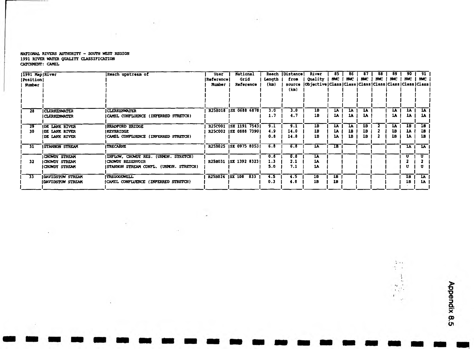### RATIONAL RIVERS AUTHORITY - SOUTH WEST REGION 1991 RIVER WATER QUALITY CLASSIFICATION CATCHMENT: CAMEL

 $\cdots$ 

 $\sim$ 

×.

 $\sim 25$ 

 $\ddot{\phantom{a}}$ 

send the top of

 $\overline{\phantom{a}}$ 

| $ 1991$ Map River |                          | Reach upstream of                       | User            | National               |        | Reach [Distance] | River                                               | 85              | 86  |     | 88         | 89              | 90  | 91            |
|-------------------|--------------------------|-----------------------------------------|-----------------|------------------------|--------|------------------|-----------------------------------------------------|-----------------|-----|-----|------------|-----------------|-----|---------------|
| <b>Position</b>   |                          |                                         | Reference       | Grid                   | Length | from             | Quality                                             | <b>BMC</b>      | MAC | NMC | <b>MVC</b> | NWC             |     | $NMC$   $NMC$ |
| <b>Number</b>     |                          |                                         | <b>Number</b>   | Reference              | (km)   | <b>SOUTCO</b>    | Objective Class Class Class Class Class Class Class |                 |     |     |            |                 |     |               |
|                   |                          |                                         |                 |                        |        | (km)             |                                                     |                 |     |     |            |                 |     |               |
|                   |                          |                                         |                 |                        |        |                  |                                                     |                 |     |     |            |                 |     |               |
|                   |                          |                                         |                 |                        |        |                  |                                                     |                 |     |     |            |                 |     |               |
|                   |                          |                                         |                 |                        |        |                  |                                                     |                 |     |     |            |                 |     |               |
| 28                | <b>CLERKENWATER</b>      | <b>CLERKENWATER</b>                     |                 | R25B018   SX 0688 6878 | 3.0    | 3.0              | 18                                                  | 1A              | 1A  | 1A  |            | 1A              | 1X  | 1Ā            |
|                   | I CLERKENWATER           | CAMEL CONFLUENCE (INFERRED STRETCH)     |                 |                        | 1.7    | 4.7              | 18                                                  | IA.             | 1A  | 1A  |            | 14              | LA. | 1A            |
|                   |                          |                                         |                 |                        |        |                  |                                                     |                 |     |     |            |                 |     |               |
| 29                | <b>IDE LANK RIVER</b>    | <b>BRADPORD BRIDGE</b>                  |                 | R25C001   SX 1191 7543 | 9.1    | 9.1              | 1B                                                  | <b>IA</b>       | 1A  | 1B  |            | $1\overline{A}$ | 1B  | <b>IB</b>     |
| 30                | <b>IDE LANK RIVER</b>    | <b>IKEYBRIDGE</b>                       |                 | R25C002 ISX 0888 73901 | 4.9    | 14.0             | 18                                                  | LA              | 18  | 1B. |            | 18              | IJ  | 1B            |
|                   | DE LANK RIVER            | CAMEL CONFLUENCE (INFERRED STRETCH)     |                 |                        | 0.8    | 14.8             | 1B                                                  | 14              | 1B  | 1B  |            | 1B              | ıA  | 1B.           |
|                   |                          |                                         |                 |                        |        |                  |                                                     |                 |     |     |            |                 |     |               |
| 31                | <b>ISTANNON STREAM</b>   | <b>TRECARNE</b>                         |                 | R25B025   SX 0975 8053 | 6.8    | 6.8              | 1A                                                  | IB              |     |     |            |                 | 1A  | ື້ນ⊼          |
|                   |                          |                                         |                 |                        |        |                  |                                                     |                 |     |     |            |                 |     |               |
|                   | <b>CROWDY STREAM</b>     | INFLOW, CROWDY RES. (UNMON. STRETCH)    |                 |                        | 0.8    | 0.8              | $\overline{\mathbf{A}}$                             |                 |     |     |            |                 | U.  | U             |
| 32                | CROWDY STREAM            | <b>CROWDY RESERVOIR</b>                 |                 | R25B031 [SX 1392 8323] | 1.3    | 2.1              | 1A                                                  |                 |     |     |            |                 |     |               |
|                   | CRONDY STREAM            | (STANNON STREAM CONFL. (UNMON. STRETCH) |                 |                        | 5.0    | 7.1              | 14                                                  |                 |     |     |            |                 |     |               |
|                   |                          |                                         |                 |                        |        |                  |                                                     |                 |     |     |            |                 |     |               |
| 33                | DAVIDSTOW STREAM         | TREGOODWELL                             | R258024 ISX 108 | 833                    | 4.5    | 4.5              | 1B                                                  | $\overline{1B}$ |     |     |            |                 | 1B  | <b>LA</b>     |
|                   | <b>IDAVIDSTOW STREAM</b> | (CAMEL CONPLUENCE (INPERRED STRETCH)    |                 |                        | 0.3    | 4.8              | 18                                                  | 18              |     |     |            |                 | 1B  | 1A            |
|                   |                          |                                         |                 |                        |        |                  |                                                     |                 |     |     |            |                 |     |               |

÷.

 $-2$ 

 $\frac{\lambda}{2}$  is a  $\frac{1}{2}$  .  $\frac{1}{\alpha}$ 

 $\begin{array}{c} \alpha_1\\ \alpha_2\\ \alpha_3\\ \alpha_4\\ \alpha_5\\ \alpha_6\\ \alpha_7\\ \alpha_8\\ \alpha_7\\ \alpha_8\\ \alpha_9\\ \alpha_9\\ \alpha_1\\ \alpha_1\\ \alpha_2\\ \alpha_3\\ \alpha_4\\ \alpha_5\\ \alpha_7\\ \alpha_8\\ \alpha_9\\ \alpha_9\\ \alpha_1\\ \alpha_1\\ \alpha_2\\ \alpha_4\\ \alpha_7\\ \alpha_8\\ \alpha_7\\ \alpha_8\\ \alpha_9\\ \alpha_9\\ \alpha_1\\ \alpha_1\\ \alpha_2\\ \alpha_3\\ \alpha_4\\ \alpha_4\\ \alpha_5\\ \alpha_7\\ \alpha_8\\ \alpha_7\\ \alpha_$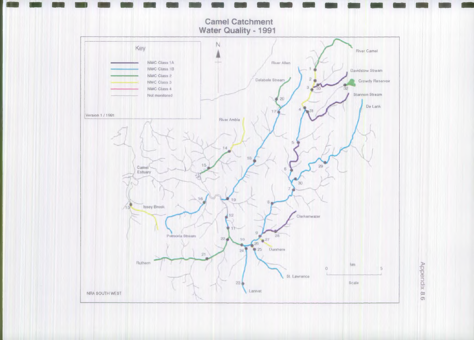

**Appendix 8.6 Appendix 8.6**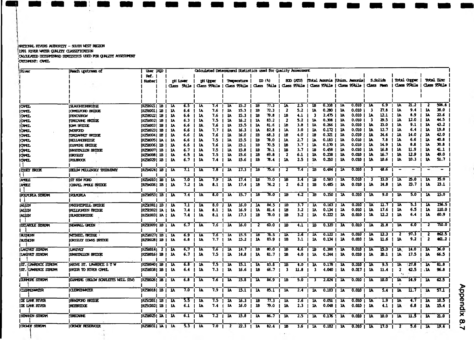#### lmnrr»L ravins Mmcnm - sum vest renew 11991 river wa<del>rn</del> gunliy classification *p t a im x )* eeh iw iw o a a m iiu s used r r *q k x n h s x s k s t* onattNT: Qm,  $\sim 10$

**1979** 

 $\sim$ 

÷.

| River                 | Reach upstream of                       | User ROD                   |                 |                         |                          |                         |                 |                         | Calculated Determinend Statistics used for Quality Assessment |              |                            |                         |                  |                         |                          |                         |                               |                         |                                               |                         |                    |                         |                          |
|-----------------------|-----------------------------------------|----------------------------|-----------------|-------------------------|--------------------------|-------------------------|-----------------|-------------------------|---------------------------------------------------------------|--------------|----------------------------|-------------------------|------------------|-------------------------|--------------------------|-------------------------|-------------------------------|-------------------------|-----------------------------------------------|-------------------------|--------------------|-------------------------|--------------------------|
|                       |                                         | Ref.                       |                 |                         |                          |                         |                 |                         |                                                               |              |                            |                         |                  |                         |                          |                         |                               |                         |                                               |                         |                    |                         |                          |
|                       |                                         | Nutber                     |                 |                         | <b>pH</b> Lover          |                         | <b>pH</b> Upper |                         | Temperature                                                   |              | <b>DD</b> (3)              |                         | <b>BOD (ATU)</b> |                         |                          |                         | hotal Ameria (Union, Ameria)  |                         | <b>S.Solids</b>                               |                         | <b>Total Orger</b> |                         | Total Zinc               |
|                       |                                         |                            |                 |                         | ملتاك حممت               |                         | Class 95kile I  |                         | Class 95kile                                                  |              | Class Skile   Class 95kile |                         |                  |                         |                          |                         | Class 95 tile   Class 95 tile | i Class Nem             |                                               |                         | Class 95 dile      |                         | ملئلاك معملك             |
|                       |                                         |                            |                 |                         |                          |                         |                 |                         |                                                               |              |                            |                         |                  |                         |                          |                         |                               |                         |                                               |                         |                    |                         |                          |
|                       |                                         |                            |                 |                         |                          |                         |                 |                         |                                                               |              |                            |                         |                  |                         |                          |                         |                               |                         |                                               |                         |                    |                         |                          |
|                       |                                         |                            |                 | $\overline{\mathbf{A}}$ | 6.5                      | $1\lambda$              | 7.4             | 18                      | 15.2                                                          | m            | $\overline{n}$ .3          | <b>1A</b>               | 2.3              | 1B                      | 0.338                    | 1A                      | 0.010                         | $\overline{\mathbf{A}}$ | 6.9                                           | 11                      | 21.2               |                         | 506.8                    |
| क्रि                  | SAGEDARICE<br><b>IONELFORD BRIDGE</b>   | <b>F25B021</b><br> r250001 | <b>IB</b><br>1B | 1A                      | 6.6                      | 14                      | 7.6             | 1A                      | 15.3                                                          | 18           | 72.3                       | $\overline{\mathbf{z}}$ | 5.2              | 14                      | 0.280                    | 18.                     | 0.010                         | -1                      | 77.6                                          | la                      | 9.4                | 11                      | 38.0                     |
| <b>OMEL</b>           | <b>IFINORION</b>                        | <b>P25B022</b>             | 1B              | 14                      | 6.6                      | 14                      | 7.6             | ı                       | 15.3                                                          | 18           | 79.8                       | 18                      | 4.1              | -3                      | 2.475                    | JA.                     | 0.010                         | 18                      | 12.1                                          | lA                      | 8.9                | 11                      | 22.6                     |
| ome<br> CWEL          | TORIONNE BROOTE                         | <b>R25B0021</b>            | $1B$            | 1A                      | 6.3                      | $\mathbf{1}$            | 7.5             | 18                      | 16.2                                                          | 18           | 83.2                       | 2                       | 5.2              | 18                      | 0.306                    | 1Y                      | 0.010                         | -3                      | 29.5                                          | 18                      | 12.0               | <b>IA</b>               | 44.5                     |
| <b>OMEL</b>           | KAM BRODER                              | R2SB003  1B                |                 | J.                      | 6.6                      | 1A                      | 7.6             | JA,                     | 15.5                                                          | 14           | 81.6                       | 1B                      | 3.8              | 1A                      | 0.266                    | 18                      | 0.010                         | <b>JA</b>               | 23.0                                          | <b>JA</b>               | 9.1                | 1A                      | 43.2                     |
| lana.                 | MXTOD                                   | [f258023] 1B               |                 | 18                      | 6.6                      | 18                      | 7.7             | 11                      | 16.3                                                          | 11           | 82.8                       | 1A                      | 3.0              | 1A                      | 0.172                    | 18                      | 0.010                         | 11                      | 12.7                                          | 18                      | 6.4                | 18                      | 19.8                     |
| <b>OMEL</b>           | TINESANNET BRITIQE                      | (r2Se004  1B               |                 | -IA                     | 6.6                      | ı                       | 7.6             | 14                      | 16.0                                                          | 1B           | 68.3                       | 18                      | 4.0              | 1B                      | 0.321                    | 18                      | 0.010                         | 18                      | 24.6                                          | 18                      | 14.0               | 18                      | 42.0                     |
| <b>OMEL</b>           | <b>HELLANDERINGE</b>                    | IR250005  1.A              |                 | J.                      | 6.6                      | 14                      | 7.5             | 11                      | 15.5                                                          | ıв           | 78.0                       | <b>1A</b>               | 2.7              | 14                      | 0.183                    | 18                      | 0.010                         | 18                      | 7.8                                           | 11                      | 6.6                | 18                      | 40.8                     |
| <b>IOMEL</b>          | IDINYE HODE                             | rzeoo6  1b                 |                 | 18                      | 6.6                      | 11.                     | 7.6             | 18                      | 15.1                                                          | 1B           | 70.5                       | 18                      | 3.7              | 17                      | 0.170                    | 18                      | 0.010                         | 18                      | 14.9                                          | 17                      | 8.8                | 14                      | 30.8                     |
| <b>CANEL</b>          | INNSTALLON HRITIDE                      | r25e007  1B                |                 | 18                      | 6.7                      | 14                      | 7,5             | ı                       | 15.8                                                          | 1B           | 78.1                       | 18                      | 3.7              | 18                      | 0.456                    | <b>IV</b>               | 0.010                         | 18                      | 16.8                                          | 14                      | 11.9               | 18                      | 41.1                     |
| <b>OMEL</b>           | <b>GROGLEY</b>                          | rz5b008  1B                |                 | 11.                     | 6.5                      | 1A                      | 7.5             | ıM                      | 15.6                                                          | 18           | 69.8                       | -2                      | 6.1              | 11                      | 0.238                    | 1A                      | 0.CLO                         | ım                      | 16.7                                          | 14                      | 12.9               | 11                      | 49.0                     |
| kang ka               | <b>POLIFICOX</b>                        | r2Se029  1.B               |                 | Ц.                      | 6.7                      | 1A                      | 7.4             | 11.                     | 15.6                                                          | lB           | 78.4                       | 14                      | 2.5              | 18                      | 0.210                    | 18.                     | 0.010                         | -14                     | 10.6                                          | 1A                      | 10.3               | 18                      | 51.7                     |
|                       |                                         |                            |                 |                         |                          |                         |                 |                         |                                                               |              |                            |                         |                  |                         |                          |                         |                               |                         |                                               |                         |                    |                         |                          |
| <b>ISSEY HROOK</b>    | <b>HEIGH MELLINEY TRIBURNY</b>          | rz\$1024  1.B              |                 | 1A                      | 7.1                      | $\overline{\mathbf{A}}$ | 7.8             | 1A                      | 17.3                                                          | m            | 75.6                       | $\overline{\mathbf{z}}$ | 7.4              | ิบ                      | 0.484                    | $\mathbf{v}$            | 0.010                         | -3                      | 43.6                                          |                         | -                  |                         | $\overline{\phantom{0}}$ |
| L L                   |                                         |                            |                 |                         |                          |                         |                 |                         |                                                               |              |                            |                         |                  |                         |                          |                         |                               |                         |                                               |                         |                    |                         |                          |
| <b>AMELE</b>          | <b>IST KEW FORD</b>                     | [RZSAO10] 1B               |                 | 1A                      | 7.0                      | $1\overline{A}$         | 7.9             | 14                      | 17.4                                                          | 18           | 73.0                       | 18                      | 3.4              | 1B                      | 0.593                    | 14.                     | 0.010                         |                         | 33.0                                          | 18                      | 25.0               | 18                      | 35.0                     |
| <b>NHLE</b>           | GRPL MBC HODE                           | r25a006  1.B               |                 | 18                      | 7.2                      | 14                      | 8.1             | 14                      | 17.4                                                          | 1B           | 74.2                       | 2                       | 6.2              | 1B                      | 0.485                    | <b>1A</b>               | 0.010                         | 18                      | 24.8                                          | $\mathbf{h}$            | 23.7               | 14                      | 23.1                     |
|                       |                                         |                            |                 |                         |                          |                         |                 |                         |                                                               |              |                            |                         |                  |                         |                          |                         |                               |                         |                                               |                         |                    |                         |                          |
| ikumita siteph        | <b>FOLMORIA</b>                         | R2SB053  1.B               |                 | <b>1A</b>               | 7.4                      | 1A                      | 8.0             | 14                      | 15.7                                                          | <b>IB</b>    | 78.0                       | 18                      | 4.2              | ٦b                      | 0.350                    | 1A                      | 0.010                         | $\overline{\mathbf{A}}$ | 9.0                                           | $\overline{\mathbf{1}}$ | 5.0                | $1\lambda$              | 15.0                     |
|                       |                                         |                            |                 |                         |                          |                         |                 |                         |                                                               |              |                            |                         |                  |                         |                          |                         |                               |                         |                                               |                         |                    |                         |                          |
| <b>WIEN</b>           | <b>INNIGHTSMILL HUDGE</b>               | r250001  1B                |                 | 14                      | 7.1                      | ı                       | 8.0             | <b>IA</b>               | 16.0                                                          | 1A           | 84.5                       | lB                      | 3.7              | 1A                      | 0.163                    | 18.                     | 0.010                         | 18.                     | 11.7                                          | 11                      | 5.3                | 14                      | 236.5                    |
| WIDN                  | KELIKREEN BRIDGE                        | r250002  ia                |                 | 18                      | 7.4                      | <b>1A</b>               | 8.1             | 14                      | 16.9                                                          | 14           | 81.4                       | m                       | 3.2              | 1A                      | 0.134                    | 1A                      | 0.010                         | 18                      | 17.6                                          | 18                      | 6.5                | <b>IA</b>               | 110.0                    |
| <b>ALLEN</b>          | <b>SUCCERTING</b>                       | (r250003  1A               |                 | 11                      | 7.4                      | la                      | 8.1             | 1A                      | 17.3                                                          | 1B           | 78.0                       | <b>1B</b>               | 3.2              | 14                      | 0.222                    | 1A                      | 0.010                         | 14                      | 12.2                                          | 11                      | 6.4                | 14                      | 60.9                     |
|                       |                                         |                            |                 |                         |                          |                         |                 |                         |                                                               |              |                            |                         |                  |                         |                          |                         |                               |                         |                                               |                         |                    |                         |                          |
| DELABOLE STREAM       | INDHIHLL GREEN                          | (r25009) 18 (              |                 | אנ                      | 6.7                      | <b>1A</b>               | 7.6             | 18.                     | 16.0                                                          | $\mathbf{2}$ | 60.0                       | 18                      | 4.1              | 18                      | 0.320                    | 18                      | 0.010                         | ٦Â.                     | $\overline{\mathbf{a}}.\overline{\mathbf{c}}$ | $\overline{\mathbf{u}}$ | 6.0                | 2                       | 710.0                    |
|                       |                                         |                            |                 |                         |                          |                         |                 |                         |                                                               |              |                            |                         |                  |                         |                          |                         |                               |                         |                                               |                         |                    |                         |                          |
| <b>RUTERN</b>         | <b>MTMIX, RIDGE</b>                     | IR2580271 1B               |                 | <b>IA</b>               | 6.9                      | $\overline{\mathbf{a}}$ | 7.6             | Ì٨                      | 15.5                                                          | w            | 78.5                       | R                       | 2.6              | īĀ                      | 0.122                    | $\overline{\mathbf{M}}$ | 0.010                         | R                       | 12.3                                          | $\overline{\mathbf{r}}$ | 97.S               |                         | 662.5                    |
| <b>RUBERN</b>         | <b>GROGLEY DOANS BRIDGE</b>             | (r252028) 18               |                 | <b>1A</b>               | 6.8                      | 1A                      | 77              | 1A                      | 15.2                                                          | 18           | 83.9                       | <b>1B</b>               | 3.1              | 1A                      | 0.134                    | 14                      | 0.010                         | 11                      | 11.6                                          | <b>IA</b>               | 9.2                | $\mathbf{z}$            | 461.2                    |
|                       |                                         |                            |                 |                         |                          |                         |                 |                         |                                                               |              |                            |                         |                  |                         |                          |                         |                               |                         |                                               |                         |                    |                         |                          |
| LANIVET STREAM        | <b>LANIVET</b>                          | R2\$B014                   | <b>2</b> I      | -18                     | 6.7                      | ĨĀ                      | 7.6             | 1A                      | 14.7                                                          | 1B           | 0.06                       | 1B                      | 4.6              | 1B                      | 0.388                    | 11                      | 0.010                         | 1A                      | 15.0                                          | 'IA.                    | 14.0               | . IX                    | 36.0                     |
| Lantvet stream        | <b>INNEDALION BRIDGE</b>                | r25b016  1B                |                 | <b>1A</b>               | 6.7                      | <b>1A</b>               | 7.5             | 1A                      | 14.8                                                          | 1A           | 61.7                       | 1B                      | 4.0              | <b>IA</b>               | 0.244                    | 14                      | 0.010                         | 18.                     | 20.1                                          | 18.                     | 17.5               | $\mathbf{a}$            | 66.5                     |
|                       |                                         |                            |                 |                         |                          |                         |                 |                         |                                                               |              |                            |                         |                  |                         |                          |                         |                               |                         |                                               |                         |                    |                         |                          |
| ST. ILANEIXCE SIJEZM  | ABOUE ST. LANGEREE S T W                | R258040  1B                |                 | 14                      | 6.8                      | $\overline{\mathbf{1}}$ | 7.5             | 1A                      | 15.1                                                          | 1A           | 83.8                       | 1B                      | $\bullet$ .0     | Ì۸.                     | 0.178                    | 18                      | 0.010                         | 11                      | 9.5                                           | n                       | $\overline{27.8}$  | 17                      | $\overline{a.s}$         |
| ST. LANGENIE SIJGEM   | iffulr to river cavel.                  | (r250038) 118              |                 | 11                      | 6.4                      | 18                      | 7.3             | 1A                      | 16.6                                                          | 1B           | 66.7                       | $\mathbf{3}$            | 11.8             | -3                      | 4.040                    | 14                      | 0.017                         | 1A                      | 11.4                                          | $\mathbf{2}$            | 0.5                | ۸λ.                     | 96.8                     |
|                       |                                         |                            |                 |                         |                          |                         |                 |                         |                                                               |              |                            |                         |                  |                         |                          |                         |                               |                         |                                               | ٠.                      |                    |                         |                          |
| <b>DIVERE STREAM</b>  | <b>JUNNER (BELOW SORREITS WELL STW)</b> | R258026  1B                |                 | <b>IA</b>               | 6.8                      | $\overline{\mathbf{1}}$ | 7.6             | $\overline{\mathbf{h}}$ | 15.8                                                          | IX.          | 84.9                       | 1B                      | 5.0              | з.                      | 2.024                    | 1A                      | 0.010                         | $\overline{\mathbf{1}}$ | 10.0                                          | $\overline{\mathbf{M}}$ | 14.9               | $\overline{\mathbf{a}}$ | $\overline{a}$ .5        |
|                       |                                         |                            |                 |                         |                          |                         |                 |                         |                                                               |              |                            |                         |                  |                         |                          |                         |                               |                         |                                               |                         |                    |                         |                          |
| CLEARINGER            | <b>CLEAREMENT</b>                       | (r25b018   1B              |                 | 14                      | 7.0                      | 1 <sub>A</sub>          | 7.9             | $\overline{\mathbf{M}}$ | 15.1                                                          | 1A           | 85.1                       | $\overline{\mathbf{1}}$ | 2.4              | $\overline{\mathbf{u}}$ | 0.103                    | $\overline{\mathbf{M}}$ | 0.010                         | $\overline{\mathbf{u}}$ | 5.4                                           | 11                      | 11.7               | 11                      | 57.1                     |
|                       |                                         |                            |                 |                         |                          |                         |                 |                         |                                                               |              |                            |                         |                  |                         |                          |                         |                               |                         |                                               |                         |                    |                         |                          |
| <b>DE LANK RIVER</b>  | <b>IERADTORO EKUDOE</b>                 | r250001  1B                |                 | <b>IA</b>               | 5.5                      | $1\overline{A}$         | 7.5             | 18                      | 16.3                                                          | 1B           | $\pi_{.3}$                 | $\overline{\mathbf{A}}$ | 2.6              | 18                      | 0.051                    | ıA                      | 0.010                         | 14                      | 1.9                                           | 18                      | 4.7                | 1A                      | 10.5                     |
| ice lank kiver        | <b>INEXTRAINER</b>                      | r25c002  1B                |                 | 18                      | 6.1                      | 17                      | 7.4             | 11                      | 16.0                                                          | 1B           | 79.0                       | 1A                      | 2.3              | <b>JA</b>               | 0.048                    | 1A                      | 0.010                         | 14                      | 4.1                                           | <b>IA</b>               | 6.8                | 14                      | 15.4                     |
|                       |                                         |                            |                 |                         |                          |                         |                 |                         |                                                               |              |                            |                         |                  |                         |                          |                         |                               |                         |                                               |                         |                    |                         |                          |
| STANCH STREZH         | <b>THEORHE</b>                          | r258025  1.A               |                 | - 1A                    | 6.1                      | $1\overline{A}$         | 7.2             | 1A                      | 15.8                                                          | 14           | 86.7                       | $\overline{\mathbf{1}}$ | 2.5              | $\overline{\mathbf{h}}$ | 0.1%                     | 18                      | 0.010                         | $\overline{\mathbf{a}}$ | 10.0                                          | $\overline{\mathbf{R}}$ | 11.5               | 1X                      | 21.0                     |
|                       |                                         |                            |                 |                         |                          |                         |                 |                         |                                                               |              |                            |                         |                  |                         |                          |                         |                               |                         |                                               |                         |                    |                         |                          |
| <b>CROWDY STOREMY</b> | IORONOM RESERVOIDR                      | <b>R25B031 IA   IA</b>     |                 |                         | $5.3 \mid \overline{10}$ |                         | 7.0             | $\mathbf{z}$            | 22.3                                                          | 1A           | 0.4                        | $\overline{\mathbf{B}}$ | 3.6              | $\mathbf{L}$            | $0.182$ $\overline{)10}$ |                         | $0.010$ I In                  |                         | 17.0                                          | $\mathbf{z}$            | 5.6                | <b>JA</b>               | 19.4                     |

 $\mathcal{C}^{\ast}$ 

Appendix 8.7 **Appendix 8.7**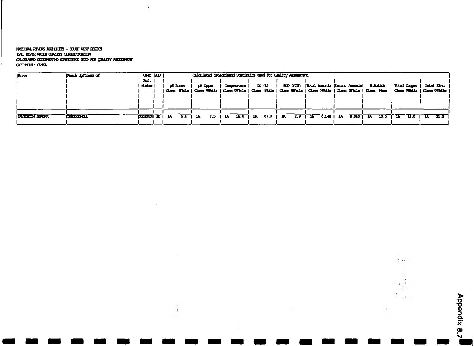rwajowL Rwros Kmnonr **- scum** vest k e e n 1991 RIVER WOER QUALITY CLASSIFICATION **oam /on) £nn«iN»D sm nsncs tea) rai quhjut aseestcnt** GOOPENT: CHEL

 $\rightarrow$ 

| River                     | Reach upstream of | User (RO)    |         |     |                 | Calculated Determinand Statistics used for Quality Assessment |   |                    |     |                             |    |     |    |       |             |                                                     |      |                   |     |                                                                                                                                       |             |
|---------------------------|-------------------|--------------|---------|-----|-----------------|---------------------------------------------------------------|---|--------------------|-----|-----------------------------|----|-----|----|-------|-------------|-----------------------------------------------------|------|-------------------|-----|---------------------------------------------------------------------------------------------------------------------------------------|-------------|
|                           |                   | Ref.         |         |     |                 |                                                               |   |                    |     |                             |    |     |    |       |             |                                                     |      |                   |     |                                                                                                                                       |             |
|                           |                   | <b>Ruber</b> | di Loar |     | <b>PH Upper</b> |                                                               |   | <b>Tesperature</b> |     | $\mathbf{D}$ $(\mathbf{k})$ |    |     |    |       |             | ECD (ATU)   Total Amonia (Union, Amonia)   S.Solids |      |                   |     | I Total Cooper                                                                                                                        | Total Zinc  |
|                           |                   |              |         |     |                 |                                                               |   |                    |     |                             |    |     |    |       |             |                                                     |      |                   |     | Class   Skile   Class 95kile   Class 95kile   Class   Skile   Class 95kile   Class 95kile   Class   Men   Class 95kile   Class 95kile |             |
|                           |                   |              |         |     |                 |                                                               |   |                    |     |                             |    |     |    |       |             |                                                     |      |                   |     |                                                                                                                                       |             |
|                           |                   |              |         |     |                 |                                                               |   |                    |     |                             |    |     |    |       |             |                                                     |      |                   |     |                                                                                                                                       |             |
|                           |                   |              |         |     |                 |                                                               |   |                    |     |                             |    |     |    |       |             |                                                     |      |                   |     |                                                                                                                                       |             |
|                           |                   |              |         |     |                 |                                                               |   |                    |     |                             |    |     |    |       |             |                                                     |      |                   |     |                                                                                                                                       |             |
| <b>IDAVIDURON SONEZHA</b> | <b>TOGLOCIAEL</b> | $R25024$ $B$ | 1A      | 6.4 | 14              | 7.5                                                           | м | 16.4               | -la | 87.0                        | ıa | 2.9 | 1A | 0.148 | <b>1 1A</b> | 0.010                                               | - 1A | 10.5 <sub>1</sub> | -11 | 13.0                                                                                                                                  | <b>11.0</b> |
|                           |                   |              |         |     |                 |                                                               |   |                    |     |                             |    |     |    |       |             |                                                     |      |                   |     |                                                                                                                                       |             |

 $\overline{\phantom{a}}$ 

Appendix 8.7 **Appendix 8.7**

 $\overline{\phantom{a}}$ 

 $\frac{1}{2}$  , , ,

 $\cdot$  $\cdot$  $\mathbf{r}_1$  $\mathcal{F}(\mathbf{y})$  $\mathbf{I}$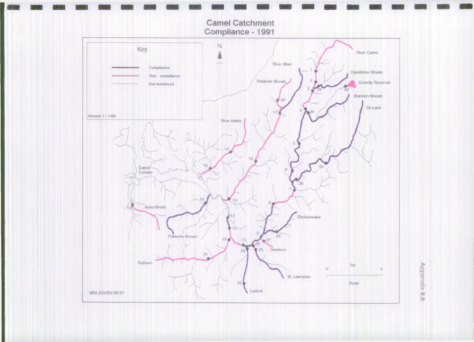

**Appendix 88 Appendix 8 8**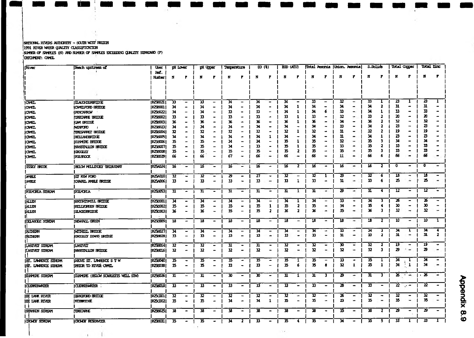# $R$ rennTC\* raves AuhtrentY - south with region 1991 RIVER WHER QUALITY CLASSIFTONIDIN<br>NUMBER OF SPAPLES (N) AND NUMBER OF SPAPLES EXEEEUNG QUALITY SUNNUND (F) OHOHOT: OWL

 $\mathbf{r}$ 

 $\sim$ 

 $\sim$ 

| River                  | Reach upstream of                  | <b>UBBT</b>     |                          | pH Lower                     |                          | pH Upper                     | Temperature                 |                          |                 | DD (1)                                                                                                                                            | $BD$ $(MU)$ |                              |                         |                          |                           | Total Amania  Union. Ameria                                                                           | <b>S.Solids</b> |                |                     | Total Orger                  |             | Total Zinc                   |
|------------------------|------------------------------------|-----------------|--------------------------|------------------------------|--------------------------|------------------------------|-----------------------------|--------------------------|-----------------|---------------------------------------------------------------------------------------------------------------------------------------------------|-------------|------------------------------|-------------------------|--------------------------|---------------------------|-------------------------------------------------------------------------------------------------------|-----------------|----------------|---------------------|------------------------------|-------------|------------------------------|
|                        |                                    | æ.              |                          |                              |                          |                              |                             |                          |                 |                                                                                                                                                   |             |                              |                         |                          |                           |                                                                                                       |                 |                |                     |                              |             |                              |
|                        |                                    | Nutter          | N                        | Г                            | N                        | Г                            | N                           | r                        | N               | Г                                                                                                                                                 | N           |                              |                         |                          | N                         | ۲                                                                                                     | N               | P              | N                   | Р                            |             |                              |
|                        |                                    |                 |                          |                              |                          |                              |                             |                          |                 |                                                                                                                                                   |             |                              |                         |                          |                           |                                                                                                       |                 |                |                     |                              |             |                              |
|                        |                                    |                 |                          |                              |                          |                              |                             |                          |                 |                                                                                                                                                   |             |                              |                         |                          |                           |                                                                                                       |                 |                |                     |                              |             |                              |
|                        |                                    |                 |                          |                              |                          |                              |                             |                          |                 |                                                                                                                                                   |             |                              |                         |                          |                           |                                                                                                       |                 |                |                     |                              |             |                              |
|                        |                                    |                 |                          |                              |                          |                              |                             |                          |                 |                                                                                                                                                   |             |                              |                         |                          |                           |                                                                                                       |                 |                |                     |                              |             |                              |
| CNEL                   | SAUTOBERIDGE                       | <b>R25B021</b>  | 33                       | $\overline{\phantom{0}}$     | 33                       | $\overline{\phantom{0}}$     | 34                          | $\overline{\phantom{m}}$ | 34              | -                                                                                                                                                 | 34          | -                            | 33                      | $\overline{\phantom{a}}$ | 32                        | $\overline{\phantom{0}}$                                                                              | 33              |                | 23                  |                              | η           |                              |
| <b>CIMEL</b>           | <b>(OMELFORD BRIDGE</b>            | R25001          | 34                       | ۰                            | 34                       |                              | 34                          | $\blacksquare$           | 34              | -                                                                                                                                                 | 34          | 1                            | 34                      |                          | 34                        |                                                                                                       | 34              |                | 31                  |                              | 11          |                              |
| <b>iOMEL</b>           | <b>IFINORROW</b>                   | <b>IT25022</b>  | 34                       |                              | 34                       |                              | 33                          | $\blacksquare$           | 33              | $\overline{\phantom{0}}$                                                                                                                          | 34          |                              | 34                      | 6                        | 33                        |                                                                                                       | 34              |                | 33                  |                              | 33          |                              |
| GMEL                   | TRECHNE BRIDGE                     | <b>F25B002</b>  | 33                       |                              | 33                       |                              | 33                          |                          | 33              |                                                                                                                                                   | 13          |                              | 33                      |                          | 32                        |                                                                                                       | 33              |                | 20                  |                              | 20          |                              |
| KR 12                  | KAM BRIDGE                         | <b>IR258003</b> | 36                       |                              | 36                       |                              | 36                          |                          | 36              |                                                                                                                                                   | 36          |                              | 36                      |                          | 34                        |                                                                                                       | 36              |                | 32                  |                              | 32          |                              |
| GMEL                   | MENECHO                            | (R25B023        | 34                       |                              | 34                       |                              | 34                          |                          | 34              |                                                                                                                                                   | 34          |                              | -34                     |                          | 33                        |                                                                                                       | 34              |                | 23                  |                              | 23          |                              |
| CWEL                   | <b>TRESVRET BRIDGE</b>             | <b>R2SB004</b>  | 32                       |                              | 32                       |                              | 32                          |                          | 32              | ۰                                                                                                                                                 | 32          |                              | 32                      |                          | 31                        |                                                                                                       | 32              |                | 19                  |                              | 19          |                              |
| GYEL                   | <b>HELL NOURTOONE</b>              | <b>F256005</b>  | 34                       |                              | 34                       |                              | 34                          |                          | 34              |                                                                                                                                                   | 34          |                              | 34                      |                          | 31                        |                                                                                                       | 34              |                | 23                  |                              | B           |                              |
| GYEL                   | LINEXE ERIDEE                      | R2\$3006        | 35                       |                              | 35                       |                              | 34                          |                          | 34              |                                                                                                                                                   | 35          |                              | 35                      |                          | 32                        |                                                                                                       | 35              |                | 34                  |                              | 34          |                              |
| OMEL                   | INVERVION HATCHE                   | F25B007         | 35                       |                              | 35                       |                              | 34                          |                          | 33              |                                                                                                                                                   | 35          |                              | 35                      |                          | 33                        |                                                                                                       | 35              |                | 33                  |                              | 33          |                              |
| [CNEL                  | <b>GOGLEY</b>                      | P253008         | 35                       |                              | 35                       |                              | 35                          |                          | 35              |                                                                                                                                                   | 35          | 2                            | 35                      |                          | 35                        |                                                                                                       | 35              |                | 33                  |                              | 33          |                              |
| CIMEL                  | <b>FOLIFOOK</b>                    | 1259029         | 66                       |                              | 66                       |                              | 67                          | ۰                        | 66              | ٠                                                                                                                                                 | 66          | -                            | 66                      |                          | 11                        |                                                                                                       | 66              | 6              | 66                  |                              | 66          |                              |
|                        |                                    |                 |                          |                              |                          |                              |                             |                          |                 |                                                                                                                                                   |             |                              |                         |                          |                           |                                                                                                       |                 |                |                     |                              |             |                              |
| <b>ISSEY HROCK</b>     | <b>NEIGW MELLINEY TRIBUTARY</b>    | <b>IR25A024</b> | 16                       | $\bullet$                    | 16                       | $\rightarrow$                | 16                          | $\rightarrow$            | 16              | $\overline{\phantom{a}}$                                                                                                                          | 16          | $\overline{\mathbf{2}}$      | 16                      | -                        | 16                        |                                                                                                       | 16              | $\overline{2}$ | $\mathbf o$         | $\qquad \qquad \blacksquare$ | $\mathbf o$ | $\overline{\phantom{a}}$     |
|                        |                                    |                 |                          |                              |                          |                              |                             |                          |                 |                                                                                                                                                   |             |                              |                         |                          |                           |                                                                                                       |                 |                |                     |                              |             |                              |
| <b>AMBLE</b>           | סוסא ויסא דכו                      | <b>R25A010</b>  | 32                       | ٠                            | $\overline{\mathbf{32}}$ | $\qquad \qquad \blacksquare$ | 29                          | $\blacksquare$           | 27              | $\overline{\phantom{a}}$                                                                                                                          | 32          | $\qquad \qquad \blacksquare$ | 32                      | 1                        | 29                        | $\overline{\phantom{a}}$                                                                              | 32              | 6              | 18                  | -                            | 16          |                              |
| <b>AMEE</b>            | <b>IGREEL AMBLE BRIDGE</b>         | [R25A006]       | 33                       | $\overline{\phantom{a}}$     | 33                       | مبر                          | 33                          | $\overline{\phantom{a}}$ | 33              | -                                                                                                                                                 | 33          | $\overline{\mathbf{1}}$      | 33                      | $\blacksquare$           | 31                        | $\overline{a}$                                                                                        | 33              | 6              | 25                  | ۰                            | 25          |                              |
|                        |                                    |                 |                          |                              |                          |                              |                             |                          |                 |                                                                                                                                                   |             |                              |                         |                          |                           |                                                                                                       |                 |                |                     |                              |             |                              |
| FOLMORIA SIDEEM        | <b>FOLMORIA</b>                    | <b>P2SB053</b>  | 31                       | $\overline{\phantom{a}}$     | 31                       | $\qquad \qquad \blacksquare$ | $\overline{\mathbf{31}}$    | $\blacksquare$           | $\overline{31}$ | $\overline{\phantom{a}}$                                                                                                                          | 31          | 1                            | $\overline{\mathbf{u}}$ | ۰                        | $\overline{\mathbf{z}}$   | $\overline{\phantom{a}}$                                                                              | 31              | 4              | 12                  | $\overline{\phantom{0}}$     | 12          |                              |
|                        |                                    |                 |                          |                              |                          |                              |                             |                          |                 |                                                                                                                                                   |             |                              |                         |                          |                           |                                                                                                       |                 |                |                     |                              |             |                              |
| ALLEN                  | <b>KNIGHEMIL BUDGE</b>             | <b>R25D001</b>  | 34                       | $\overline{\phantom{0}}$     | 34                       | مد                           | 34                          | $\overline{\phantom{0}}$ | 34              |                                                                                                                                                   | 34          | ı                            | 34                      | ۰                        | 33                        | $\overline{\phantom{a}}$                                                                              | 34              | 3              | 26                  |                              | 26          |                              |
| <b>ALLIN</b>           | KELINGREEN ERUDEE                  | R250002         | 35                       | ۰                            | 35                       | $\rightarrow$                | 35                          | $\overline{\phantom{0}}$ | 35              | 1                                                                                                                                                 | 35          | $\mathbf{z}$                 | 35                      | -                        | 34                        |                                                                                                       | 35              |                | 30                  |                              | 30          |                              |
| <b>MTEA</b>            | <b>SLADESBRUDGE</b>                | R250003         | 36                       |                              | 36                       | $\overline{\phantom{a}}$     | 35                          | $\qquad \qquad$          | 35              | $\mathbf{z}$                                                                                                                                      | 36          | $\mathbf{z}$                 | 36                      | ۰                        | 35                        | $\overline{\phantom{a}}$                                                                              | 36              | 3              | 32                  | -                            | 32          |                              |
|                        |                                    |                 |                          |                              |                          |                              |                             |                          |                 |                                                                                                                                                   |             |                              |                         |                          |                           |                                                                                                       |                 |                |                     |                              |             |                              |
| <b>DELARCIE SUREAM</b> | <b>NENALL GREEN</b>                | R25D009         | $\overline{\mathbf{18}}$ | $\overline{\phantom{a}}$     | 18                       | $\blacksquare$               | 18                          | $\overline{\phantom{0}}$ | 18              | $\overline{\phantom{0}}$                                                                                                                          | 18          | ۰.                           | 18                      | $\blacksquare$           | Îδ                        | $\overline{\phantom{a}}$                                                                              | 18              | $\mathbf{z}$   | 10                  | -                            | 10          |                              |
|                        |                                    |                 |                          |                              |                          |                              |                             |                          |                 |                                                                                                                                                   |             |                              |                         |                          |                           |                                                                                                       |                 |                |                     |                              |             |                              |
| <b>RUILIEN</b>         | <b>WITHIEL BRIDGE</b>              | <b>IR25B027</b> | 34                       | $\overline{\phantom{0}}$     | 34                       | $\overline{\phantom{0}}$     | 34                          | $\qquad \qquad$          | 34              | $\blacksquare$                                                                                                                                    | 34          | -                            | 34                      | $\overline{\phantom{a}}$ | 33                        | $\overline{\phantom{a}}$                                                                              | 34              | 3              | 34                  | 1                            | 34          | 4                            |
| <b>RIDER!</b>          | GROGLEY DONG BRIDGE                | JP25H028        | 33                       | $\qquad \qquad \blacksquare$ | 33                       | $\overline{\phantom{0}}$     | 33                          | $\overline{\phantom{0}}$ | 33              | ٠                                                                                                                                                 | 33          | ۰                            | 33                      | ۰                        | $\mathbf{u}$              | ٠                                                                                                     | 33              | $\mathbf{z}$   | 31                  | $\overline{\phantom{0}}$     | 31          | $\mathbf{z}$                 |
|                        |                                    |                 |                          |                              |                          |                              |                             |                          |                 |                                                                                                                                                   |             |                              |                         |                          |                           |                                                                                                       |                 |                |                     |                              |             |                              |
| LANIVEIT SIREAM        | <b>LANIVET</b>                     | [R25B014]       | $\overline{\mathbf{32}}$ | $\overline{\phantom{0}}$     | 32                       |                              | 31                          | $\overline{\phantom{a}}$ | 31              | $\overline{\phantom{0}}$                                                                                                                          | 32          | $\blacksquare$               | 32                      | $\overline{\phantom{a}}$ | 30                        | $\hskip1.6pt\hskip1.6pt\hskip1.6pt\hskip1.6pt\hskip1.6pt\hskip1.6pt\hskip1.6pt\hskip1.6pt\hskip1.6pt$ | 32              | 2              | 19                  | $\bullet$                    | 19          |                              |
| LANTVET STREAM         | <b>INNSTALLON ENTIDE</b>           | <b>P2SE016</b>  | 32                       | $\overline{\phantom{a}}$     | $\mathbf{v}$             | $\overline{\phantom{0}}$     | 32                          | $\overline{\phantom{0}}$ | 32              | $\rightarrow$                                                                                                                                     | 32          | ۰                            | 32                      | -                        | 32                        | $\overline{\phantom{a}}$                                                                              | 32              | 3              | 29                  | $\sim$                       | 29          |                              |
|                        |                                    |                 |                          |                              |                          |                              |                             |                          |                 |                                                                                                                                                   |             |                              |                         |                          |                           |                                                                                                       |                 |                |                     |                              |             |                              |
| IST. LANRENCE STREAM   | ABOVE ST. LANGUCE STW              | <b>IR258040</b> | 35                       | $\overline{\phantom{a}}$     | 35                       | $\overline{\phantom{a}}$     | 35                          | ۰                        | 35              | $\hskip1.6pt\hskip1.6pt\hskip1.6pt\hskip1.6pt\hskip1.6pt\hskip1.6pt\hskip1.6pt\hskip1.6pt\hskip1.6pt\hskip1.6pt\hskip1.6pt\hskip1.6pt\hskip1.6pt$ | 35          |                              | 35                      | -                        | 33                        | ٠                                                                                                     | 35              |                | м                   | 1                            | 34          |                              |
| IST. LANRENCE STREZM   | <b>IRIDR TO RIVER OPEL</b>         | <b>IR258038</b> | 15                       | $\blacksquare$               | 35                       |                              | 33                          | $\overline{\phantom{0}}$ | 33              | $\overline{\phantom{m}}$                                                                                                                          | 35          | 6                            | 35                      | 8                        | 32                        | $\mathbf{1}$                                                                                          | 35              | $\mathbf{1}$   | 34                  | $\frac{1}{2}$                | 34          |                              |
|                        |                                    |                 |                          |                              |                          |                              |                             |                          |                 |                                                                                                                                                   |             |                              |                         |                          |                           |                                                                                                       |                 |                |                     |                              |             |                              |
| <b>ILIMERE STREAM</b>  | DUNNER (BELOW SCHWELTES WELL, STW) | <b>IR256026</b> | 31                       | $\overline{\phantom{0}}$     | 11                       | -                            | 30                          | $\overline{\phantom{0}}$ | 30              | $\overline{\phantom{a}}$                                                                                                                          | 31          |                              | 31                      | 3                        | ာ                         | $\rightarrow$                                                                                         | 11              | з.             |                     | $26 - 4$                     | 26          | -                            |
|                        |                                    |                 |                          |                              |                          |                              |                             |                          |                 |                                                                                                                                                   |             |                              |                         |                          |                           |                                                                                                       |                 |                |                     |                              |             |                              |
| <b>CLERKENHADER</b>    | <b>CLEAREMEER</b>                  | <b>R2SH018</b>  | 33                       | $\overline{\phantom{a}}$     | 33                       | $\blacksquare$               | 33                          | $\blacksquare$           | 33              | $\blacksquare$                                                                                                                                    | 33          | $\bullet$                    | 33                      | $\overline{\phantom{0}}$ | 28                        | $\blacksquare$                                                                                        | 33              |                | $\overline{\bm{z}}$ | 南平                           | 22          |                              |
|                        |                                    |                 |                          |                              |                          |                              |                             |                          |                 |                                                                                                                                                   |             |                              |                         |                          |                           |                                                                                                       |                 |                |                     |                              |             |                              |
|                        |                                    | <b>R25001</b>   | 32                       | $\blacksquare$               | $\overline{\mathbf{z}}$  |                              | $\overline{\boldsymbol{x}}$ |                          | 32              | $\overline{\phantom{0}}$                                                                                                                          | 32          | ۰                            | 32                      | ٠                        | 26                        | $\overline{\phantom{a}}$                                                                              | 32              | -              | 32                  | $\overline{\phantom{0}}$     | 32          | $\qquad \qquad \blacksquare$ |
| <b>ICE LANK RIVER</b>  | <b>ERACTORD ERITICE</b>            |                 |                          |                              |                          |                              |                             |                          |                 |                                                                                                                                                   |             |                              | 35                      | $\rightarrow$            | $\boldsymbol{\mathbf{z}}$ | $\overline{\phantom{a}}$                                                                              | 35              | -              | 15                  | $\overline{\phantom{a}}$     | 35          |                              |
| IE IAN RWA             | <b>REVIEWER</b>                    | <b>P250002</b>  | 35                       |                              | 35                       |                              | 34                          | $\overline{\phantom{a}}$ | 34              | $\mathbf{1}$                                                                                                                                      | 35          | $\blacksquare$               |                         |                          |                           |                                                                                                       |                 |                |                     |                              |             |                              |
|                        |                                    |                 |                          |                              |                          |                              |                             |                          |                 |                                                                                                                                                   |             |                              |                         |                          |                           |                                                                                                       | 33              |                | 29                  | $\overline{\phantom{0}}$     | 29          |                              |
| SITANCH SITEEM         | TROORE                             | <b>IR258025</b> | 38                       | $\overline{\phantom{0}}$     | 38                       | $\bullet$                    | 38                          |                          | 38              | $\blacksquare$                                                                                                                                    | 38          | $\overline{\phantom{a}}$     | 38                      | $\overline{\phantom{a}}$ | 35                        | $\overline{\phantom{a}}$                                                                              |                 | $\mathbf{z}$   |                     |                              |             |                              |
|                        |                                    |                 |                          |                              |                          |                              |                             |                          |                 |                                                                                                                                                   |             |                              |                         |                          |                           |                                                                                                       |                 |                |                     |                              |             |                              |
| CROWDY STREAM          | <b>GOWN RESERVOIR</b>              | <b>R25B031</b>  | 35                       | ٠                            | 35                       | $\bullet$                    | 34                          | 2                        | 33              | $\blacksquare$                                                                                                                                    | 35          | 4                            | 35                      | $\overline{\phantom{m}}$ | 34                        | $\qquad \qquad \blacksquare$                                                                          | 35              | 5              | 33                  | 1                            | 33          |                              |

 $\sim$ 

**Appendix 8.9 Appendix 8.9**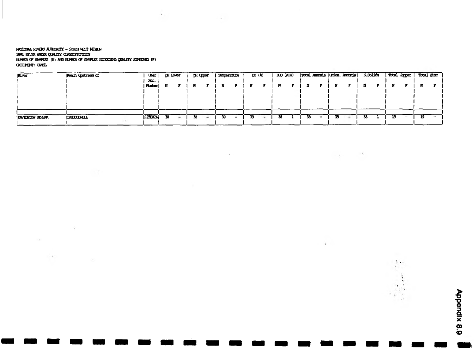#### **tn m & L rivers h jm h iiy - scum v e t fo zen 1991 RIVER WROPR QUALITY CLASSIFTCRITION** NIHER OF SWFUES (N) AND NIHER OF SWFUES DICIEITING QUALITY STANDARD (F) OTOKNT: CJrtX.

 $\sim$   $\sim$ 

 $\sim 10^{-5}$ 

 $\sim 10^{-11}$ 

 $\sim$   $\epsilon$ 

 $\sim$   $\sim$ 

| River             | Reach upstream of | <b>User</b>    | di Lower | <b>Lit rither.</b> | Temperature |   | D(D(3)) | BOD (ATU) | Total Amonia (Union. Amonia) |    | S.Solick | Dical Caper |    | Total Zinc |
|-------------------|-------------------|----------------|----------|--------------------|-------------|---|---------|-----------|------------------------------|----|----------|-------------|----|------------|
|                   |                   | Rof.           |          |                    |             |   |         |           |                              |    |          |             |    |            |
|                   |                   | Natber         |          |                    |             |   |         |           |                              |    |          |             |    |            |
|                   |                   |                |          |                    |             |   |         |           |                              |    |          |             |    |            |
|                   |                   |                |          |                    |             |   |         |           |                              |    |          |             |    |            |
|                   |                   |                |          |                    |             |   |         |           |                              |    |          |             |    |            |
|                   |                   |                |          |                    |             |   |         |           |                              |    |          |             |    |            |
|                   |                   |                |          |                    |             |   |         |           |                              |    |          |             |    |            |
| IDAVIDSION SINEPH | <b>TRITODAEL</b>  | <b>R25B024</b> | 38       |                    | -59         | - | 39      | 38        |                              | 55 |          | 19.         | 19 | $\bullet$  |
|                   |                   |                |          |                    |             |   |         |           |                              |    |          |             |    |            |

 $\sim$ 

 $\sim$   $\sim$ 

 $\mathcal{L}_{\mathcal{A}}$  , and  $\mathcal{L}_{\mathcal{A}}$ 

 $\cdot$ 

 $\ddot{\phantom{1}}$ 

 $\ddot{\phantom{1}}$ 

**Appendix 8.9 Appendix 8.9**

 $\lambda$  or  $\frac{d\mathbf{r}}{d} = \mathbf{r}$ 

 $\frac{2}{\sqrt{2}}$ 

 $, i$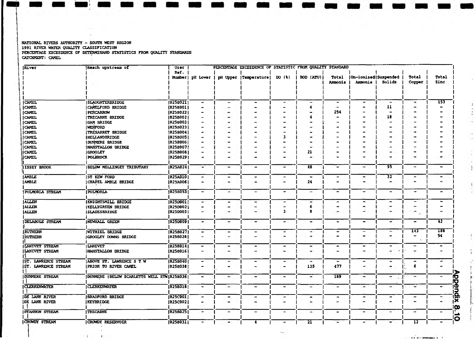| River                  | <b>Reach upstream of</b>                   | User            |                          |   | PERCENTAGE EXCEEDENCE OF STATISTIC FROM QUALITY STANDARD |                              |                          |                          |                          |                              |                          |                  |
|------------------------|--------------------------------------------|-----------------|--------------------------|---|----------------------------------------------------------|------------------------------|--------------------------|--------------------------|--------------------------|------------------------------|--------------------------|------------------|
|                        |                                            | Ref.            |                          |   |                                                          |                              |                          |                          |                          |                              |                          |                  |
|                        |                                            |                 | Number   pH Lower        |   | pH Upper   Temperature                                   | DO (1)                       | <b>BOD (ATU)</b>         | Total                    | Un-ionised Suspended     |                              | Total                    | Total            |
|                        |                                            |                 |                          |   |                                                          |                              |                          | Ammonia                  | Ammonia                  | Solids                       | Copper                   | Zinc             |
|                        |                                            |                 |                          |   |                                                          |                              |                          |                          |                          |                              |                          |                  |
|                        |                                            |                 |                          |   |                                                          |                              |                          |                          |                          |                              |                          |                  |
|                        |                                            |                 |                          |   |                                                          |                              |                          |                          |                          |                              |                          |                  |
| <b>CAMEL</b>           | <b>SLAUGHTERBRIDGE</b>                     | R25B021         |                          | - |                                                          |                              | -                        |                          |                          | ۰                            | ۰                        | $\overline{153}$ |
| <b>CAMEL</b>           | CAMELFORD BRIDGE                           | <b>R25B0011</b> |                          |   |                                                          |                              |                          |                          |                          | 11                           | -                        |                  |
| <b>CAMEL</b>           | <b>PENCARROW</b>                           | R25B022         |                          |   |                                                          |                              |                          | 254                      |                          |                              |                          |                  |
| <b>CAMEL</b>           | <b>TRECARNE BRIDGE</b>                     | R25B002         |                          |   |                                                          |                              |                          |                          |                          | 18                           |                          |                  |
| <b>CAMEL</b>           | GAM BRIDGE                                 | <b>R25B003</b>  |                          |   |                                                          |                              |                          |                          |                          |                              |                          |                  |
| <b>CAMEL</b>           | <b>IWENFORD</b>                            | R25B023         |                          |   |                                                          |                              |                          |                          |                          |                              |                          |                  |
| <b>CAMEL</b>           | TRESARRET BRIDGE                           | [R25B004]       |                          |   |                                                          |                              |                          |                          |                          |                              |                          |                  |
| <b>CAMEL</b>           | <b>INELLANDBRIDGE</b>                      | <b>R25B005</b>  |                          |   |                                                          |                              | -                        |                          |                          |                              | ٠                        |                  |
| <b>CAMEL</b>           | DUNNERE BRIDGE                             | [R25B006]       |                          |   |                                                          |                              | -                        |                          |                          |                              | -                        |                  |
| <b>CAMEL</b>           | INANSTALLON BRIDGE                         | R25B007         |                          |   |                                                          |                              |                          |                          |                          |                              |                          |                  |
| <b>CAMEL</b>           | <b>IGROGLEY</b>                            | [R25B008]       |                          |   |                                                          |                              | 21                       |                          |                          |                              | -                        |                  |
| CAMEL                  | <b>POLBROCK</b>                            | R25B0291        |                          | - |                                                          |                              |                          |                          |                          | ۰                            | -                        |                  |
|                        |                                            |                 |                          |   |                                                          |                              |                          |                          |                          |                              |                          |                  |
| <b>ISSEY BROOK</b>     | <b>BELOW MELLINGEY TRIBUTARY</b>           | <b>R25A024</b>  | ٠                        | - | ٠                                                        | -                            | 48                       | $\tilde{\phantom{a}}$    | -                        | -95                          | $\overline{\phantom{a}}$ |                  |
|                        |                                            |                 |                          |   |                                                          |                              |                          |                          |                          |                              |                          |                  |
| <b>A'BLE</b>           | ST KEW FORD                                | <b>R25A010</b>  | ۰                        | - | $\overline{\phantom{a}}$                                 | $\overline{\phantom{0}}$     |                          | $\tilde{\phantom{a}}$    | $\overline{\phantom{0}}$ | $\overline{32}$              | -                        | -                |
| <b>AMBLE</b>           | CHAPEL AMBLE BRIDGE                        | <b>R25A006</b>  |                          |   |                                                          |                              | 24                       |                          |                          | -                            | ۳                        |                  |
|                        |                                            |                 |                          |   |                                                          |                              |                          |                          |                          |                              |                          |                  |
| <b>POLMORIA STREAM</b> | POLYDRLA                                   | R25B053         | $\overline{\phantom{0}}$ | ٠ | $\qquad \qquad \blacksquare$                             | $\overline{\phantom{a}}$     | $\overline{\phantom{0}}$ | $\overline{\phantom{0}}$ | ٠                        | ۰.                           | ٠                        | $\blacksquare$   |
|                        |                                            |                 |                          |   |                                                          |                              |                          |                          |                          |                              |                          |                  |
| ALLEN                  | INVIGHTSMILL BRIDGE                        | R25D001         | $\overline{\phantom{a}}$ | ۰ | $\overline{\phantom{a}}$                                 | -                            |                          |                          |                          | $\overline{\phantom{a}}$     | $\overline{\phantom{0}}$ | -                |
| <b>ALLEN</b>           | <b>IKELLYGREEN BRIDGE</b>                  | R25D002         |                          |   |                                                          |                              | 6                        |                          |                          | ۰                            | -                        |                  |
| <b>ALLEN</b>           | <b>SLADESBRIDGE</b>                        | R25D003         |                          | - |                                                          | 3                            |                          |                          |                          |                              | -                        |                  |
|                        |                                            |                 |                          |   |                                                          |                              |                          |                          |                          |                              |                          |                  |
| DELABOLE STREAM        | NEWHALL GREEN                              | R25D009         | ۰                        | - | $\qquad \qquad \blacksquare$                             | -                            | ۰                        | $\overline{\phantom{a}}$ | -                        | ۰                            | -                        | 42               |
|                        |                                            |                 |                          |   |                                                          |                              |                          |                          |                          |                              |                          |                  |
| <b>RUTHERN</b>         | WITHIEL BRIDGE                             | R25B027         | $\blacksquare$           | - |                                                          | $\overline{\phantom{0}}$     | -                        |                          | -                        | -                            | 143                      | 188              |
| RUTHERN                | GROGLEY DOWNS BRIDGE                       | <b>R25B028</b>  |                          | - |                                                          | $\rightarrow$                | ٠                        | -                        | ۰                        | $\qquad \qquad \blacksquare$ | -                        | 54               |
|                        |                                            |                 |                          |   |                                                          |                              |                          |                          |                          |                              |                          |                  |
| LANIVET STREAM         | <b>LANIVET</b>                             | R258014         | -                        | ٠ | ٠                                                        | $\overline{\phantom{a}}$     | $\overline{\phantom{0}}$ | $\bullet$                | $\overline{\phantom{0}}$ | ٠                            | -                        |                  |
| LANIVET STREAM         | <b>INANSTALLON BRIDGE</b>                  | R25B016         | $\overline{\phantom{0}}$ | - | -                                                        | ۰                            | ۰                        | ۰                        |                          | ۰                            | ۰                        |                  |
|                        |                                            |                 |                          |   |                                                          |                              |                          |                          |                          |                              |                          |                  |
| ST. LAWRENCE STREAM    | ABOVE ST. LAWRENCE S T W                   | R25B040         | $\blacksquare$           | - | $\overline{\phantom{0}}$                                 | ٠                            | ∸                        | $\overline{\phantom{0}}$ | ٠                        | -                            | -                        |                  |
| IST. LAWRENCE STREAM   | PRIOR TO RIVER CAMEL                       | <b>R25B0381</b> |                          | - |                                                          |                              | 135                      | 477                      | $\overline{\phantom{a}}$ | $\overline{\phantom{a}}$     | 6                        |                  |
|                        |                                            |                 |                          |   |                                                          |                              |                          |                          |                          |                              |                          |                  |
| <b>DUNNIERE STREAM</b> | DUNMERE (BELOW SCARLETTS WELL STW R25B026) |                 |                          | - | -                                                        | $\qquad \qquad \blacksquare$ | -                        | <b>189</b>               | -                        | -                            | ∽                        |                  |
|                        |                                            |                 |                          |   |                                                          |                              |                          |                          |                          |                              |                          |                  |

—

•

 $\overline{\phantom{a}}$ 

i 1 1

 $\overline{\phantom{0}}$ 

 $\rightarrow$ 

 $\overline{\phantom{a}}$ 

i 1 1

<u>ا است که است که س</u>ا

|DE LANK RIVER [BRADFORD BRIDGE [R25C001| - i 1 - ) - | - - | | -

 $\overline{\phantom{a}}$ 

 $\overline{\phantom{a}}$ 

 $\qquad \qquad \blacksquare$ 

ICROWDY STREAM |CROWDY RESERVOIR |R25B031| - i 1 4 | - 21 | *-* - | 12 | -

1 1 i 1 1

۱.

۱.

٠

 $\overline{\phantom{a}}$ 

l.

 $\overline{\phantom{0}}$ 

 $\blacksquare$ 

—

—

—

—

 $\sim$ 

NATIONAL RIVERS AUTHORITY - SOUTH WEST REGION 1991 RIVER WATER QUALITY CLASSIFICATION PERCENTAGE EXCEEDENCE OF DETERMINAND STATISTICS FROM QUALITY STANDARDS CATCHMENT: CAMEL

|CLERKENWATER |R25B018|

IKEYBRIDGE

TRECARNE

**CROWDY RESERVOIR** 

 $\overline{1}$ 

[

 $\lambda$ 

**R25C001** 

|R25C002| |<br>|R25B025|

(CLERKENWATER DE LANK RIVER

|DE LANK RIVER I 1 ISTANNON STREAM

1 1

 $\ddot{\cdot}$ 

 $\ddot{\cdot}$ 

 $\frac{1}{2}$ 

 $\ddot{\cdot}$ 

 $\ddot{\phantom{a}}$ 

 $\sim$ 

 $\mathcal{L}_{\mathcal{A}}$ 

 $\overline{\phantom{0}}$ 

 $\overline{a}$ 

ri n i

*£*

**s** 3 O.  $\mathbf{x}$  .

**00.10** 

t 1 1

٠

1 1 1

۰

۰

 $\overline{\phantom{a}}$ 

 $\overline{\phantom{a}}$ 

 $\overline{\phantom{a}}$ 

1 1 i

<u>ا المستقبل المستقبل</u>